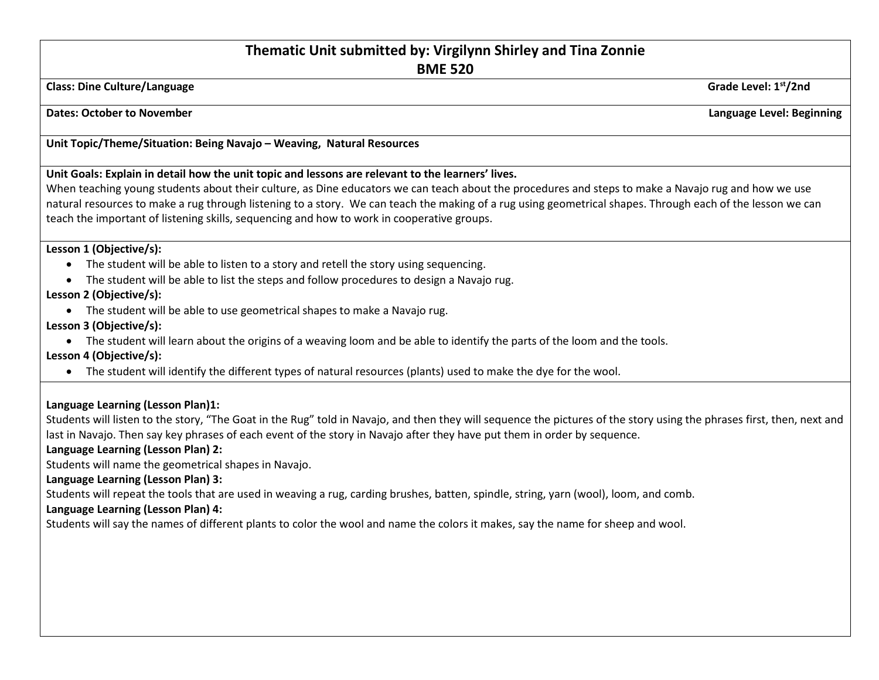# **Thematic Unit submitted by: Virgilynn Shirley and Tina Zonnie**

**BME 520**

**Class: Dine Culture/Language Grade Level: 1st/2nd**

**Dates:** October to November **Language Level: Beginning** 

### **Unit Topic/Theme/Situation: Being Navajo – Weaving, Natural Resources**

#### **Unit Goals: Explain in detail how the unit topic and lessons are relevant to the learners' lives.**

When teaching young students about their culture, as Dine educators we can teach about the procedures and steps to make a Navajo rug and how we use natural resources to make a rug through listening to a story. We can teach the making of a rug using geometrical shapes. Through each of the lesson we can teach the important of listening skills, sequencing and how to work in cooperative groups.

#### **Lesson 1 (Objective/s):**

- The student will be able to listen to a story and retell the story using sequencing.
- The student will be able to list the steps and follow procedures to design a Navajo rug.

## **Lesson 2 (Objective/s):**

• The student will be able to use geometrical shapes to make a Navajo rug.

## **Lesson 3 (Objective/s):**

• The student will learn about the origins of a weaving loom and be able to identify the parts of the loom and the tools.

**Lesson 4 (Objective/s):**

• The student will identify the different types of natural resources (plants) used to make the dye for the wool.

## **Language Learning (Lesson Plan)1:**

Students will listen to the story, "The Goat in the Rug" told in Navajo, and then they will sequence the pictures of the story using the phrases first, then, next and last in Navajo. Then say key phrases of each event of the story in Navajo after they have put them in order by sequence.

#### **Language Learning (Lesson Plan) 2:**

Students will name the geometrical shapes in Navajo.

#### **Language Learning (Lesson Plan) 3:**

Students will repeat the tools that are used in weaving a rug, carding brushes, batten, spindle, string, yarn (wool), loom, and comb.

#### **Language Learning (Lesson Plan) 4:**

Students will say the names of different plants to color the wool and name the colors it makes, say the name for sheep and wool.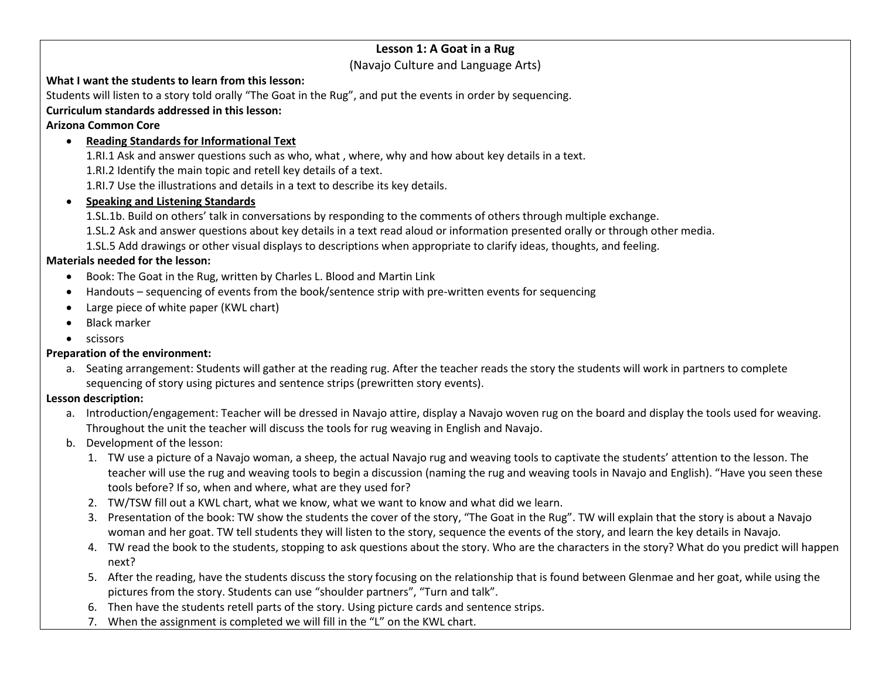## **Lesson 1: A Goat in a Rug**

(Navajo Culture and Language Arts)

#### **What I want the students to learn from this lesson:**

Students will listen to a story told orally "The Goat in the Rug", and put the events in order by sequencing.

## **Curriculum standards addressed in this lesson:**

## **Arizona Common Core**

• **Reading Standards for Informational Text**

1.RI.1 Ask and answer questions such as who, what , where, why and how about key details in a text.

1.RI.2 Identify the main topic and retell key details of a text.

1.RI.7 Use the illustrations and details in a text to describe its key details.

• **Speaking and Listening Standards** 

1.SL.1b. Build on others' talk in conversations by responding to the comments of others through multiple exchange.

1.SL.2 Ask and answer questions about key details in a text read aloud or information presented orally or through other media.

1.SL.5 Add drawings or other visual displays to descriptions when appropriate to clarify ideas, thoughts, and feeling.

## **Materials needed for the lesson:**

- Book: The Goat in the Rug, written by Charles L. Blood and Martin Link
- Handouts sequencing of events from the book/sentence strip with pre-written events for sequencing
- Large piece of white paper (KWL chart)
- Black marker
- scissors

## **Preparation of the environment:**

a. Seating arrangement: Students will gather at the reading rug. After the teacher reads the story the students will work in partners to complete sequencing of story using pictures and sentence strips (prewritten story events).

## **Lesson description:**

- a. Introduction/engagement: Teacher will be dressed in Navajo attire, display a Navajo woven rug on the board and display the tools used for weaving. Throughout the unit the teacher will discuss the tools for rug weaving in English and Navajo.
- b. Development of the lesson:
	- 1. TW use a picture of a Navajo woman, a sheep, the actual Navajo rug and weaving tools to captivate the students' attention to the lesson. The teacher will use the rug and weaving tools to begin a discussion (naming the rug and weaving tools in Navajo and English). "Have you seen these tools before? If so, when and where, what are they used for?
	- 2. TW/TSW fill out a KWL chart, what we know, what we want to know and what did we learn.
	- 3. Presentation of the book: TW show the students the cover of the story, "The Goat in the Rug". TW will explain that the story is about a Navajo woman and her goat. TW tell students they will listen to the story, sequence the events of the story, and learn the key details in Navajo.
	- 4. TW read the book to the students, stopping to ask questions about the story. Who are the characters in the story? What do you predict will happen next?
	- 5. After the reading, have the students discuss the story focusing on the relationship that is found between Glenmae and her goat, while using the pictures from the story. Students can use "shoulder partners", "Turn and talk".
	- 6. Then have the students retell parts of the story. Using picture cards and sentence strips.
	- 7. When the assignment is completed we will fill in the "L" on the KWL chart.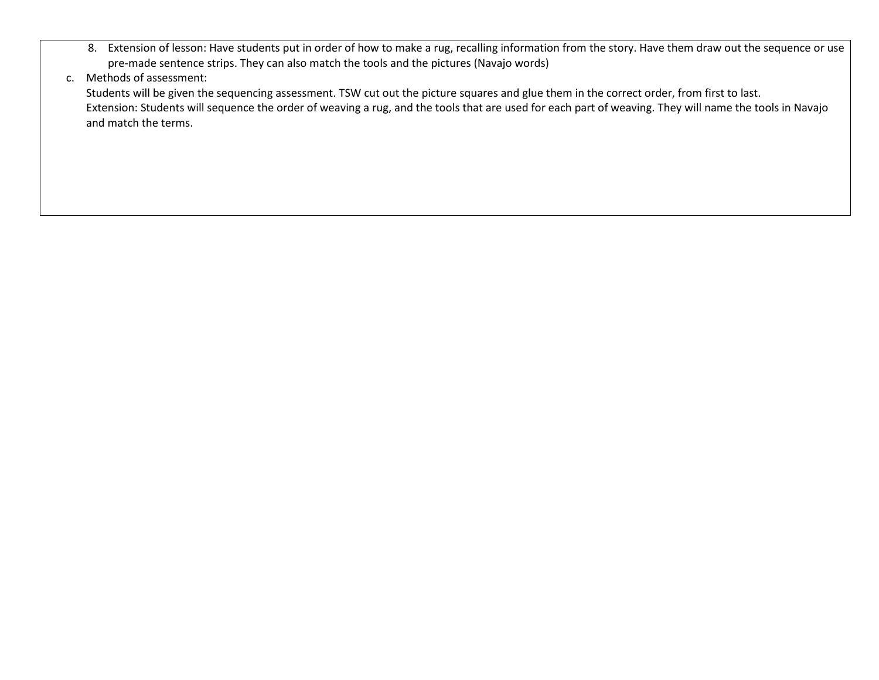8. Extension of lesson: Have students put in order of how to make a rug, recalling information from the story. Have them draw out the sequence or use pre-made sentence strips. They can also match the tools and the pictures (Navajo words)

## c. Methods of assessment:

Students will be given the sequencing assessment. TSW cut out the picture squares and glue them in the correct order, from first to last. Extension: Students will sequence the order of weaving a rug, and the tools that are used for each part of weaving. They will name the tools in Navajo and match the terms.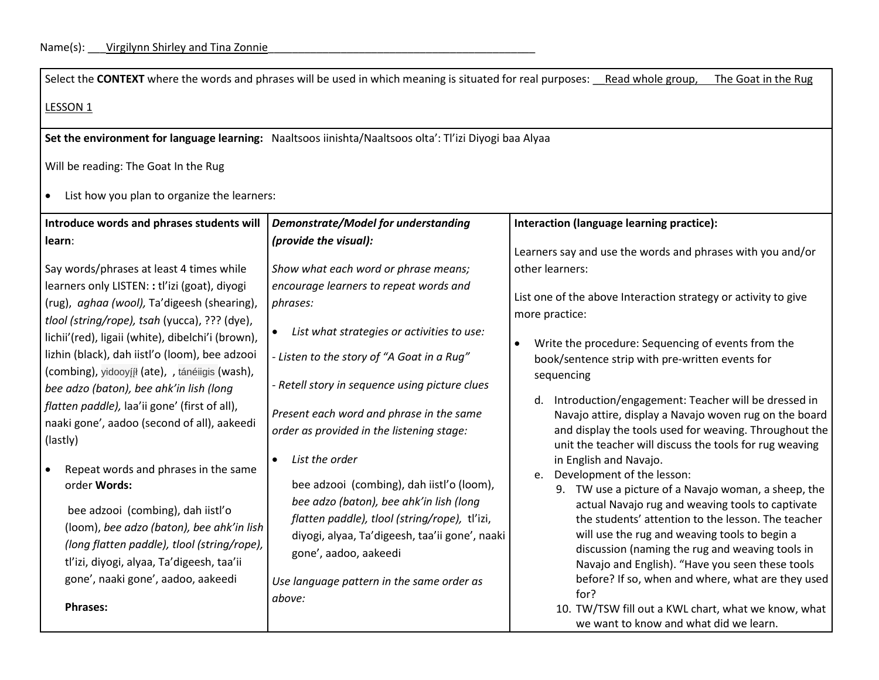Select the CONTEXT where the words and phrases will be used in which meaning is situated for real purposes: Read whole group, The Goat in the Rug

# LESSON<sub>1</sub>

**Set the environment for language learning:** Naaltsoos iinishta/Naaltsoos olta': Tl'izi Diyogi baa Alyaa

Will be reading: The Goat In the Rug

• List how you plan to organize the learners:

| Introduce words and phrases students will                                                                                                                                                                                                                                                                                                                                                                                                                                                                  | <b>Demonstrate/Model for understanding</b>                                                                                                                                                                                                                                                                                                          | Interaction (language learning practice):                                                                                                                                                                                                                                                                                                                                                                                                                                                                                 |
|------------------------------------------------------------------------------------------------------------------------------------------------------------------------------------------------------------------------------------------------------------------------------------------------------------------------------------------------------------------------------------------------------------------------------------------------------------------------------------------------------------|-----------------------------------------------------------------------------------------------------------------------------------------------------------------------------------------------------------------------------------------------------------------------------------------------------------------------------------------------------|---------------------------------------------------------------------------------------------------------------------------------------------------------------------------------------------------------------------------------------------------------------------------------------------------------------------------------------------------------------------------------------------------------------------------------------------------------------------------------------------------------------------------|
| learn:                                                                                                                                                                                                                                                                                                                                                                                                                                                                                                     | (provide the visual):                                                                                                                                                                                                                                                                                                                               | Learners say and use the words and phrases with you and/or                                                                                                                                                                                                                                                                                                                                                                                                                                                                |
| Say words/phrases at least 4 times while<br>learners only LISTEN: : tl'izi (goat), diyogi<br>(rug), aghaa (wool), Ta'digeesh (shearing),<br>tlool (string/rope), tsah (yucca), ??? (dye),<br>lichii'(red), ligaii (white), dibelchi'i (brown),<br>lizhin (black), dah iistl'o (loom), bee adzooi<br>(combing), yidooyįįł (ate), , tánéiigis (wash),<br>bee adzo (baton), bee ahk'in lish (long<br>flatten paddle), laa'ii gone' (first of all),<br>naaki gone', aadoo (second of all), aakeedi<br>(lastly) | Show what each word or phrase means;<br>encourage learners to repeat words and<br>phrases:<br>List what strategies or activities to use:<br>- Listen to the story of "A Goat in a Rug"<br>- Retell story in sequence using picture clues<br>Present each word and phrase in the same<br>order as provided in the listening stage:<br>List the order | other learners:<br>List one of the above Interaction strategy or activity to give<br>more practice:<br>Write the procedure: Sequencing of events from the<br>book/sentence strip with pre-written events for<br>sequencing<br>Introduction/engagement: Teacher will be dressed in<br>d.<br>Navajo attire, display a Navajo woven rug on the board<br>and display the tools used for weaving. Throughout the<br>unit the teacher will discuss the tools for rug weaving<br>in English and Navajo.                          |
| Repeat words and phrases in the same<br>order Words:<br>bee adzooi (combing), dah iistl'o<br>(loom), bee adzo (baton), bee ahk'in lish<br>(long flatten paddle), tlool (string/rope),<br>tl'izi, diyogi, alyaa, Ta'digeesh, taa'ii<br>gone', naaki gone', aadoo, aakeedi<br><b>Phrases:</b>                                                                                                                                                                                                                | bee adzooi (combing), dah iistl'o (loom),<br>bee adzo (baton), bee ahk'in lish (long<br>flatten paddle), tlool (string/rope), tl'izi,<br>diyogi, alyaa, Ta'digeesh, taa'ii gone', naaki<br>gone', aadoo, aakeedi<br>Use language pattern in the same order as<br>above:                                                                             | Development of the lesson:<br>e.<br>TW use a picture of a Navajo woman, a sheep, the<br>9.<br>actual Navajo rug and weaving tools to captivate<br>the students' attention to the lesson. The teacher<br>will use the rug and weaving tools to begin a<br>discussion (naming the rug and weaving tools in<br>Navajo and English). "Have you seen these tools<br>before? If so, when and where, what are they used<br>for?<br>10. TW/TSW fill out a KWL chart, what we know, what<br>we want to know and what did we learn. |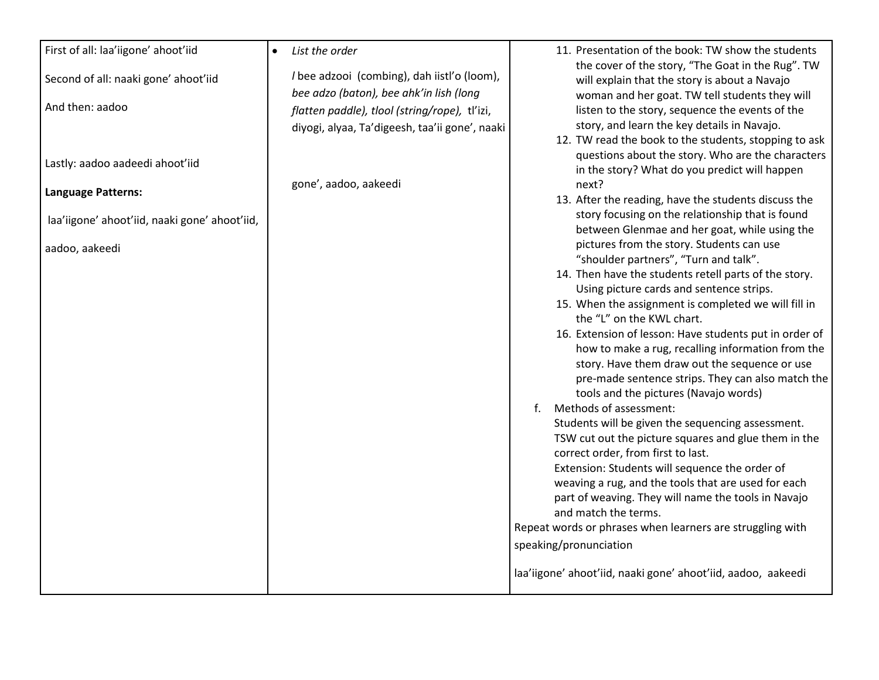| First of all: laa'iigone' ahoot'iid           | List the order<br>$\bullet$<br>I bee adzooi (combing), dah iistl'o (loom), | 11. Presentation of the book: TW show the students<br>the cover of the story, "The Goat in the Rug". TW    |
|-----------------------------------------------|----------------------------------------------------------------------------|------------------------------------------------------------------------------------------------------------|
| Second of all: naaki gone' ahoot'iid          | bee adzo (baton), bee ahk'in lish (long                                    | will explain that the story is about a Navajo<br>woman and her goat. TW tell students they will            |
| And then: aadoo                               | flatten paddle), tlool (string/rope), tl'izi,                              | listen to the story, sequence the events of the                                                            |
|                                               | diyogi, alyaa, Ta'digeesh, taa'ii gone', naaki                             | story, and learn the key details in Navajo.                                                                |
|                                               |                                                                            | 12. TW read the book to the students, stopping to ask<br>questions about the story. Who are the characters |
| Lastly: aadoo aadeedi ahoot'iid               |                                                                            | in the story? What do you predict will happen                                                              |
| <b>Language Patterns:</b>                     | gone', aadoo, aakeedi                                                      | next?                                                                                                      |
|                                               |                                                                            | 13. After the reading, have the students discuss the<br>story focusing on the relationship that is found   |
| laa'iigone' ahoot'iid, naaki gone' ahoot'iid, |                                                                            | between Glenmae and her goat, while using the                                                              |
| aadoo, aakeedi                                |                                                                            | pictures from the story. Students can use                                                                  |
|                                               |                                                                            | "shoulder partners", "Turn and talk".<br>14. Then have the students retell parts of the story.             |
|                                               |                                                                            | Using picture cards and sentence strips.                                                                   |
|                                               |                                                                            | 15. When the assignment is completed we will fill in                                                       |
|                                               |                                                                            | the "L" on the KWL chart.<br>16. Extension of lesson: Have students put in order of                        |
|                                               |                                                                            | how to make a rug, recalling information from the                                                          |
|                                               |                                                                            | story. Have them draw out the sequence or use                                                              |
|                                               |                                                                            | pre-made sentence strips. They can also match the                                                          |
|                                               |                                                                            | tools and the pictures (Navajo words)<br>Methods of assessment:<br>f.                                      |
|                                               |                                                                            | Students will be given the sequencing assessment.                                                          |
|                                               |                                                                            | TSW cut out the picture squares and glue them in the                                                       |
|                                               |                                                                            | correct order, from first to last.<br>Extension: Students will sequence the order of                       |
|                                               |                                                                            | weaving a rug, and the tools that are used for each                                                        |
|                                               |                                                                            | part of weaving. They will name the tools in Navajo                                                        |
|                                               |                                                                            | and match the terms.<br>Repeat words or phrases when learners are struggling with                          |
|                                               |                                                                            | speaking/pronunciation                                                                                     |
|                                               |                                                                            | laa'iigone' ahoot'iid, naaki gone' ahoot'iid, aadoo, aakeedi                                               |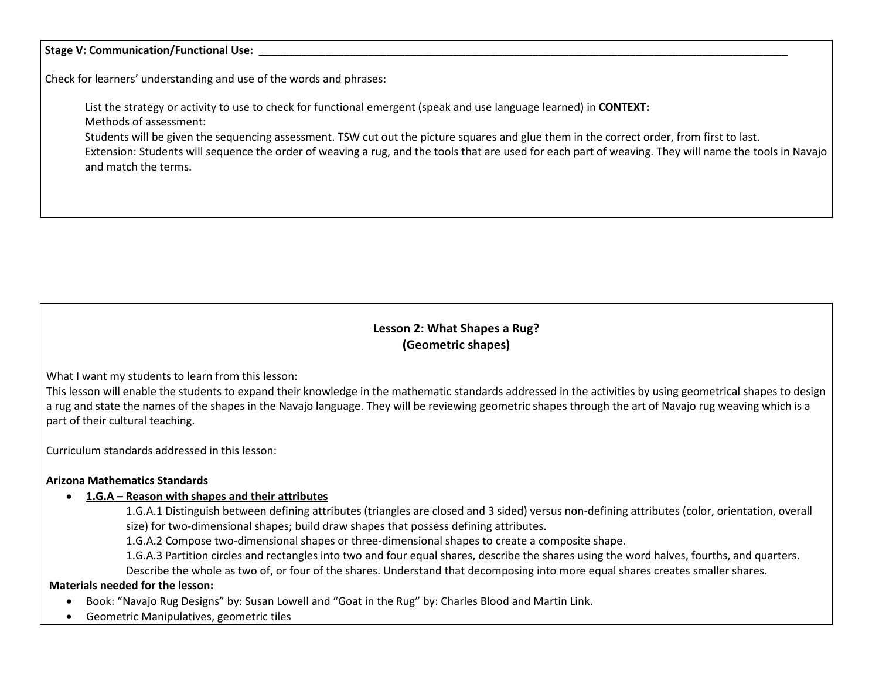#### Stage V: Communication/Functional Use:

Check for learners' understanding and use of the words and phrases:

List the strategy or activity to use to check for functional emergent (speak and use language learned) in **CONTEXT:** Methods of assessment:

Students will be given the sequencing assessment. TSW cut out the picture squares and glue them in the correct order, from first to last.

Extension: Students will sequence the order of weaving a rug, and the tools that are used for each part of weaving. They will name the tools in Navajo and match the terms.

# **Lesson 2: What Shapes a Rug? (Geometric shapes)**

What I want my students to learn from this lesson:

This lesson will enable the students to expand their knowledge in the mathematic standards addressed in the activities by using geometrical shapes to design a rug and state the names of the shapes in the Navajo language. They will be reviewing geometric shapes through the art of Navajo rug weaving which is a part of their cultural teaching.

Curriculum standards addressed in this lesson:

#### **Arizona Mathematics Standards**

#### • **1.G.A – Reason with shapes and their attributes**

1.G.A.1 Distinguish between defining attributes (triangles are closed and 3 sided) versus non-defining attributes (color, orientation, overall size) for two-dimensional shapes; build draw shapes that possess defining attributes.

1.G.A.2 Compose two-dimensional shapes or three-dimensional shapes to create a composite shape.

1.G.A.3 Partition circles and rectangles into two and four equal shares, describe the shares using the word halves, fourths, and quarters.

Describe the whole as two of, or four of the shares. Understand that decomposing into more equal shares creates smaller shares.

#### **Materials needed for the lesson:**

- Book: "Navajo Rug Designs" by: Susan Lowell and "Goat in the Rug" by: Charles Blood and Martin Link.
- Geometric Manipulatives, geometric tiles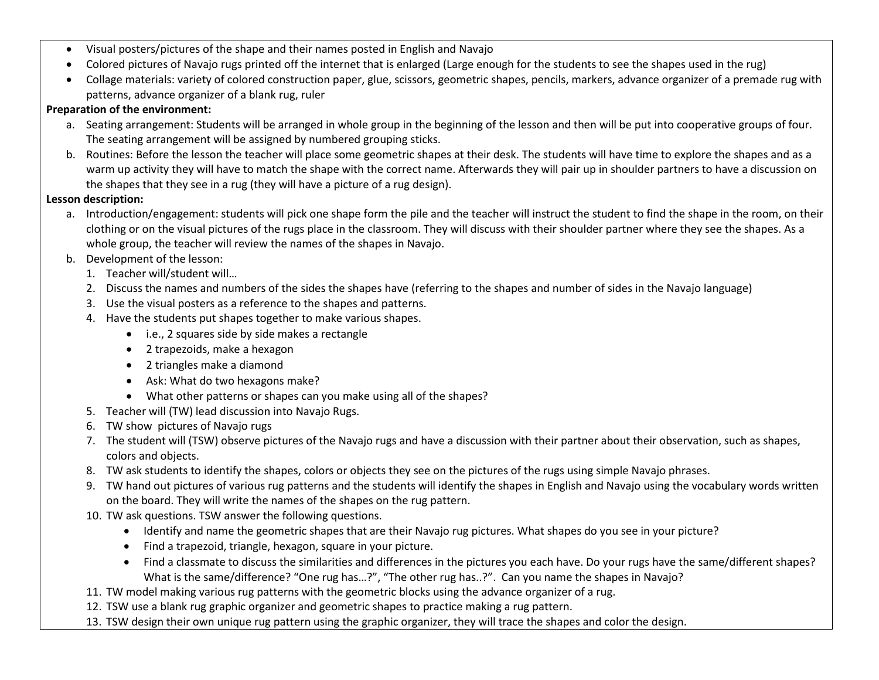- Visual posters/pictures of the shape and their names posted in English and Navajo
- Colored pictures of Navajo rugs printed off the internet that is enlarged (Large enough for the students to see the shapes used in the rug)
- Collage materials: variety of colored construction paper, glue, scissors, geometric shapes, pencils, markers, advance organizer of a premade rug with patterns, advance organizer of a blank rug, ruler

## **Preparation of the environment:**

- a. Seating arrangement: Students will be arranged in whole group in the beginning of the lesson and then will be put into cooperative groups of four. The seating arrangement will be assigned by numbered grouping sticks.
- b. Routines: Before the lesson the teacher will place some geometric shapes at their desk. The students will have time to explore the shapes and as a warm up activity they will have to match the shape with the correct name. Afterwards they will pair up in shoulder partners to have a discussion on the shapes that they see in a rug (they will have a picture of a rug design).

## **Lesson description:**

- a. Introduction/engagement: students will pick one shape form the pile and the teacher will instruct the student to find the shape in the room, on their clothing or on the visual pictures of the rugs place in the classroom. They will discuss with their shoulder partner where they see the shapes. As a whole group, the teacher will review the names of the shapes in Navajo.
- b. Development of the lesson:
	- 1. Teacher will/student will…
	- 2. Discuss the names and numbers of the sides the shapes have (referring to the shapes and number of sides in the Navajo language)
	- 3. Use the visual posters as a reference to the shapes and patterns.
	- 4. Have the students put shapes together to make various shapes.
		- i.e., 2 squares side by side makes a rectangle
		- 2 trapezoids, make a hexagon
		- 2 triangles make a diamond
		- Ask: What do two hexagons make?
		- What other patterns or shapes can you make using all of the shapes?
	- 5. Teacher will (TW) lead discussion into Navajo Rugs.
	- 6. TW show pictures of Navajo rugs
	- 7. The student will (TSW) observe pictures of the Navajo rugs and have a discussion with their partner about their observation, such as shapes, colors and objects.
	- 8. TW ask students to identify the shapes, colors or objects they see on the pictures of the rugs using simple Navajo phrases.
	- 9. TW hand out pictures of various rug patterns and the students will identify the shapes in English and Navajo using the vocabulary words written on the board. They will write the names of the shapes on the rug pattern.
	- 10. TW ask questions. TSW answer the following questions.
		- Identify and name the geometric shapes that are their Navajo rug pictures. What shapes do you see in your picture?
		- Find a trapezoid, triangle, hexagon, square in your picture.
		- Find a classmate to discuss the similarities and differences in the pictures you each have. Do your rugs have the same/different shapes? What is the same/difference? "One rug has…?", "The other rug has..?". Can you name the shapes in Navajo?
	- 11. TW model making various rug patterns with the geometric blocks using the advance organizer of a rug.
	- 12. TSW use a blank rug graphic organizer and geometric shapes to practice making a rug pattern.
	- 13. TSW design their own unique rug pattern using the graphic organizer, they will trace the shapes and color the design.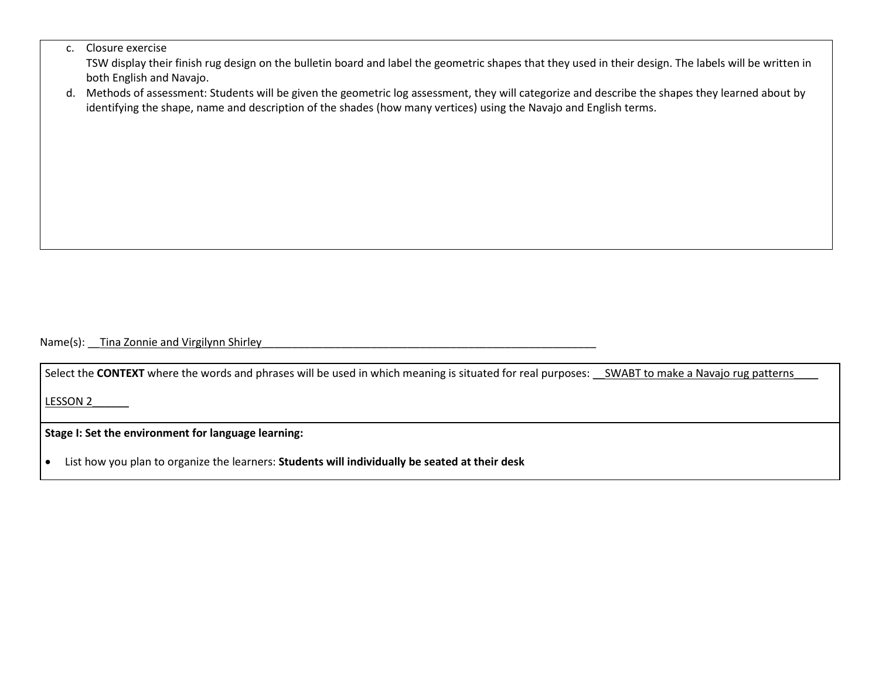#### c. Closure exercise

TSW display their finish rug design on the bulletin board and label the geometric shapes that they used in their design. The labels will be written in both English and Navajo.

d. Methods of assessment: Students will be given the geometric log assessment, they will categorize and describe the shapes they learned about by identifying the shape, name and description of the shades (how many vertices) using the Navajo and English terms.

Name(s): Tina Zonnie and Virgilynn Shirley

Select the **CONTEXT** where the words and phrases will be used in which meaning is situated for real purposes: SWABT to make a Navajo rug patterns

LESSON 2\_\_\_\_\_\_

**Stage I: Set the environment for language learning:**

• List how you plan to organize the learners: **Students will individually be seated at their desk**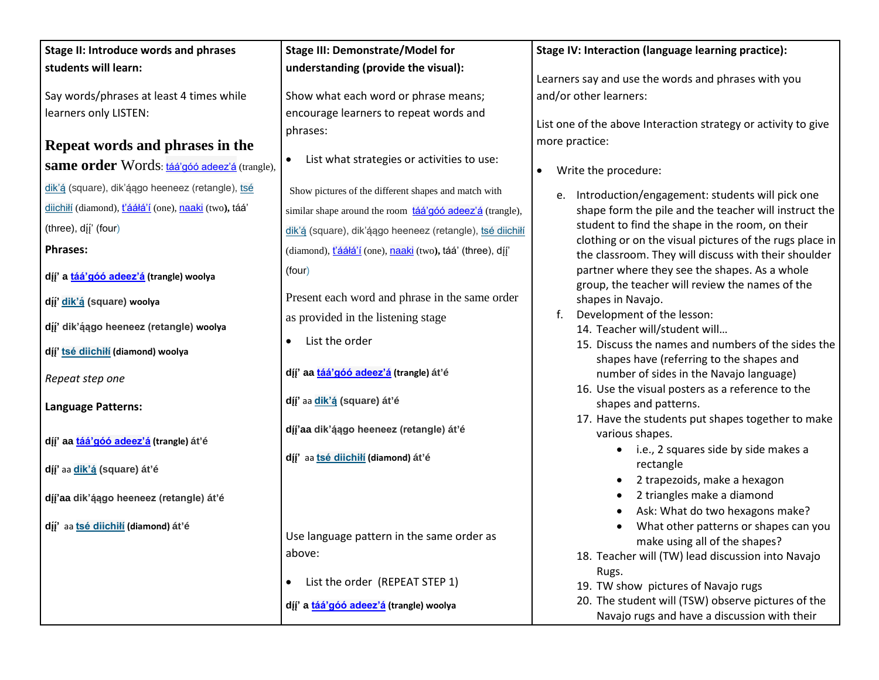| Stage II: Introduce words and phrases                             | <b>Stage III: Demonstrate/Model for</b>                    | Stage IV: Interaction (language learning practice):                                                             |
|-------------------------------------------------------------------|------------------------------------------------------------|-----------------------------------------------------------------------------------------------------------------|
| students will learn:                                              | understanding (provide the visual):                        |                                                                                                                 |
|                                                                   |                                                            | Learners say and use the words and phrases with you<br>and/or other learners:                                   |
| Say words/phrases at least 4 times while                          | Show what each word or phrase means;                       |                                                                                                                 |
| learners only LISTEN:                                             | encourage learners to repeat words and                     | List one of the above Interaction strategy or activity to give                                                  |
|                                                                   | phrases:                                                   | more practice:                                                                                                  |
| Repeat words and phrases in the                                   | List what strategies or activities to use:<br>$\bullet$    |                                                                                                                 |
| same order Words: <b>táá'góó adeez'á</b> (trangle),               |                                                            | Write the procedure:<br>$\bullet$                                                                               |
| dik'á (square), dik'áago heeneez (retangle), tsé                  | Show pictures of the different shapes and match with       | e. Introduction/engagement: students will pick one                                                              |
| diichiłí (diamond), <mark>ťááłá'í</mark> (one), naaki (two), táá' | similar shape around the room táá'góó adeez'á (trangle),   | shape form the pile and the teacher will instruct the                                                           |
| (three), dįį' (four)                                              | dik'á (square), dik'áago heeneez (retangle), tsé diichilí  | student to find the shape in the room, on their                                                                 |
| <b>Phrases:</b>                                                   | (diamond), t'ááłá'í (one), naaki (two), táá' (three), díj' | clothing or on the visual pictures of the rugs place in<br>the classroom. They will discuss with their shoulder |
| dį̃į' a <i>táá'góó adeez'á</i> (trangle) woolya                   | (four)                                                     | partner where they see the shapes. As a whole                                                                   |
| dį̃į' <i>d</i> ik'ą́ (square) woolya                              | Present each word and phrase in the same order             | group, the teacher will review the names of the<br>shapes in Navajo.                                            |
|                                                                   | as provided in the listening stage                         | Development of the lesson:<br>f.                                                                                |
| dįį' dik'ą́ągo heeneez (retangle) woolya                          |                                                            | 14. Teacher will/student will                                                                                   |
| dįį' <i>tsė diichiłi</i> (diamond) woolya                         | List the order<br>$\bullet$                                | 15. Discuss the names and numbers of the sides the                                                              |
|                                                                   |                                                            | shapes have (referring to the shapes and                                                                        |
| Repeat step one                                                   | dįį' aa táá'góó adeez'á (trangle) át'é                     | number of sides in the Navajo language)                                                                         |
|                                                                   | díj' aa dik'á (square) át'é                                | 16. Use the visual posters as a reference to the<br>shapes and patterns.                                        |
| <b>Language Patterns:</b>                                         |                                                            | 17. Have the students put shapes together to make                                                               |
|                                                                   | díj'aa dik'ą́ągo heeneez (retangle) át'é                   | various shapes.                                                                                                 |
| dįį' aa táá'góó adeez'á (trangle) át'é                            |                                                            | • i.e., 2 squares side by side makes a                                                                          |
| díj' aa dik'á (square) át'é                                       | dįį' aa <i>tsé diichiłi</i> (diamond) át'é                 | rectangle                                                                                                       |
|                                                                   |                                                            | 2 trapezoids, make a hexagon                                                                                    |
| dįį'aa dik'ą́ągo heeneez (retangle) át'é                          |                                                            | 2 triangles make a diamond                                                                                      |
|                                                                   |                                                            | Ask: What do two hexagons make?                                                                                 |
| dįį' aa <b>tsé diichiłi</b> (diamond) át'é                        | Use language pattern in the same order as                  | What other patterns or shapes can you                                                                           |
|                                                                   | above:                                                     | make using all of the shapes?                                                                                   |
|                                                                   |                                                            | 18. Teacher will (TW) lead discussion into Navajo<br>Rugs.                                                      |
|                                                                   | List the order (REPEAT STEP 1)<br>$\bullet$                | 19. TW show pictures of Navajo rugs                                                                             |
|                                                                   | díj' a táá'góó adeez'á (trangle) woolya                    | 20. The student will (TSW) observe pictures of the                                                              |
|                                                                   |                                                            | Navajo rugs and have a discussion with their                                                                    |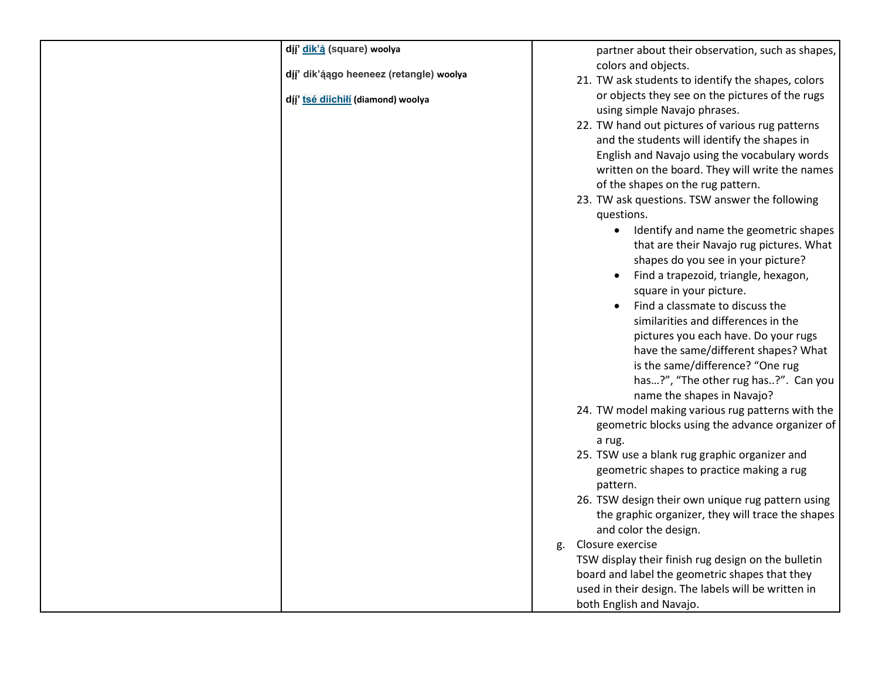| dįį' dik'ą (square) woolya               |    | partner about their observation, such as shapes,                                |
|------------------------------------------|----|---------------------------------------------------------------------------------|
| dįį' dik'ą́ągo heeneez (retangle) woolya |    | colors and objects.                                                             |
|                                          |    | 21. TW ask students to identify the shapes, colors                              |
| dįį' tsė diichiłi (diamond) woolya       |    | or objects they see on the pictures of the rugs                                 |
|                                          |    | using simple Navajo phrases.                                                    |
|                                          |    | 22. TW hand out pictures of various rug patterns                                |
|                                          |    | and the students will identify the shapes in                                    |
|                                          |    | English and Navajo using the vocabulary words                                   |
|                                          |    | written on the board. They will write the names                                 |
|                                          |    | of the shapes on the rug pattern.                                               |
|                                          |    | 23. TW ask questions. TSW answer the following                                  |
|                                          |    | questions.                                                                      |
|                                          |    | Identify and name the geometric shapes                                          |
|                                          |    | that are their Navajo rug pictures. What                                        |
|                                          |    | shapes do you see in your picture?                                              |
|                                          |    | Find a trapezoid, triangle, hexagon,                                            |
|                                          |    | square in your picture.                                                         |
|                                          |    | Find a classmate to discuss the                                                 |
|                                          |    | similarities and differences in the                                             |
|                                          |    | pictures you each have. Do your rugs                                            |
|                                          |    | have the same/different shapes? What                                            |
|                                          |    | is the same/difference? "One rug                                                |
|                                          |    | has?", "The other rug has?". Can you                                            |
|                                          |    | name the shapes in Navajo?<br>24. TW model making various rug patterns with the |
|                                          |    | geometric blocks using the advance organizer of                                 |
|                                          |    |                                                                                 |
|                                          |    | a rug.<br>25. TSW use a blank rug graphic organizer and                         |
|                                          |    | geometric shapes to practice making a rug                                       |
|                                          |    | pattern.                                                                        |
|                                          |    | 26. TSW design their own unique rug pattern using                               |
|                                          |    | the graphic organizer, they will trace the shapes                               |
|                                          |    | and color the design.                                                           |
|                                          | g. | Closure exercise                                                                |
|                                          |    | TSW display their finish rug design on the bulletin                             |
|                                          |    | board and label the geometric shapes that they                                  |
|                                          |    | used in their design. The labels will be written in                             |
|                                          |    | both English and Navajo.                                                        |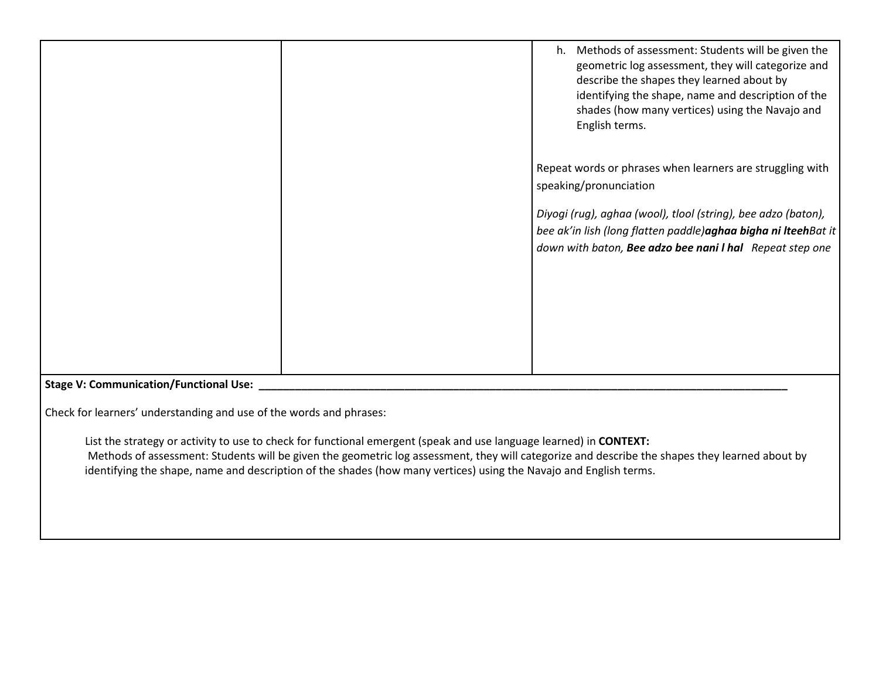|                                               | Methods of assessment: Students will be given the<br>h.<br>geometric log assessment, they will categorize and<br>describe the shapes they learned about by<br>identifying the shape, name and description of the<br>shades (how many vertices) using the Navajo and<br>English terms. |
|-----------------------------------------------|---------------------------------------------------------------------------------------------------------------------------------------------------------------------------------------------------------------------------------------------------------------------------------------|
|                                               | Repeat words or phrases when learners are struggling with<br>speaking/pronunciation<br>Diyogi (rug), aghaa (wool), tlool (string), bee adzo (baton),<br>bee ak'in lish (long flatten paddle) aghaa bigha ni IteehBat it<br>down with baton, Bee adzo bee nani I hal Repeat step one   |
| <b>Stage V: Communication/Functional Use:</b> |                                                                                                                                                                                                                                                                                       |

Check for learners' understanding and use of the words and phrases:

List the strategy or activity to use to check for functional emergent (speak and use language learned) in **CONTEXT:** Methods of assessment: Students will be given the geometric log assessment, they will categorize and describe the shapes they learned about by identifying the shape, name and description of the shades (how many vertices) using the Navajo and English terms.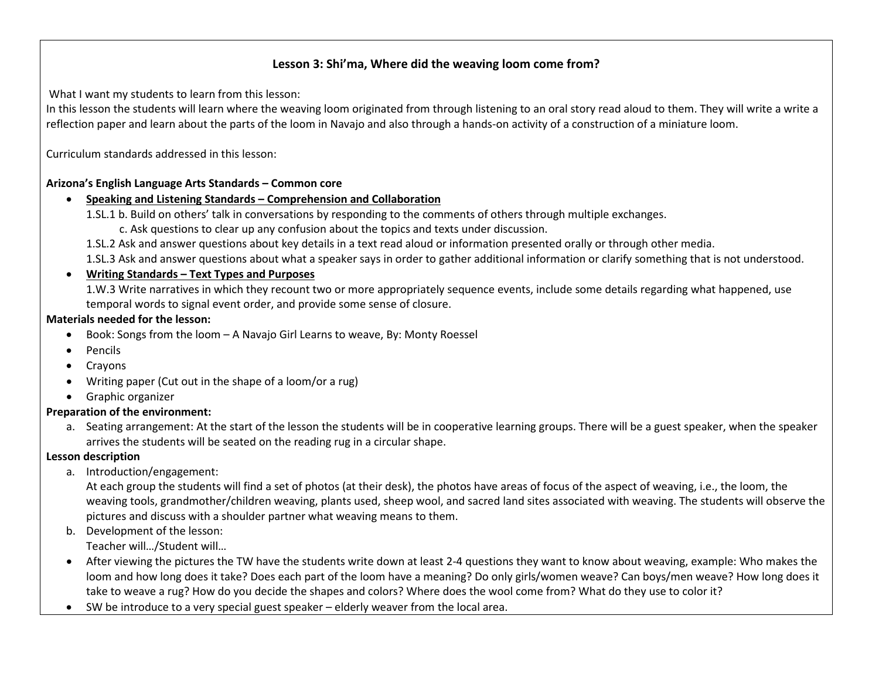## **Lesson 3: Shi'ma, Where did the weaving loom come from?**

What I want my students to learn from this lesson:

In this lesson the students will learn where the weaving loom originated from through listening to an oral story read aloud to them. They will write a write a reflection paper and learn about the parts of the loom in Navajo and also through a hands-on activity of a construction of a miniature loom.

Curriculum standards addressed in this lesson:

#### **Arizona's English Language Arts Standards – Common core**

#### • **Speaking and Listening Standards – Comprehension and Collaboration**

1.SL.1 b. Build on others' talk in conversations by responding to the comments of others through multiple exchanges.

c. Ask questions to clear up any confusion about the topics and texts under discussion.

1.SL.2 Ask and answer questions about key details in a text read aloud or information presented orally or through other media.

1.SL.3 Ask and answer questions about what a speaker says in order to gather additional information or clarify something that is not understood.

#### • **Writing Standards – Text Types and Purposes**

1.W.3 Write narratives in which they recount two or more appropriately sequence events, include some details regarding what happened, use temporal words to signal event order, and provide some sense of closure.

#### **Materials needed for the lesson:**

- Book: Songs from the loom A Navajo Girl Learns to weave, By: Monty Roessel
- Pencils
- Crayons
- Writing paper (Cut out in the shape of a loom/or a rug)
- Graphic organizer

#### **Preparation of the environment:**

a. Seating arrangement: At the start of the lesson the students will be in cooperative learning groups. There will be a guest speaker, when the speaker arrives the students will be seated on the reading rug in a circular shape.

## **Lesson description**

a. Introduction/engagement:

At each group the students will find a set of photos (at their desk), the photos have areas of focus of the aspect of weaving, i.e., the loom, the weaving tools, grandmother/children weaving, plants used, sheep wool, and sacred land sites associated with weaving. The students will observe the pictures and discuss with a shoulder partner what weaving means to them.

b. Development of the lesson:

Teacher will…/Student will…

- After viewing the pictures the TW have the students write down at least 2-4 questions they want to know about weaving, example: Who makes the loom and how long does it take? Does each part of the loom have a meaning? Do only girls/women weave? Can boys/men weave? How long does it take to weave a rug? How do you decide the shapes and colors? Where does the wool come from? What do they use to color it?
- SW be introduce to a very special guest speaker elderly weaver from the local area.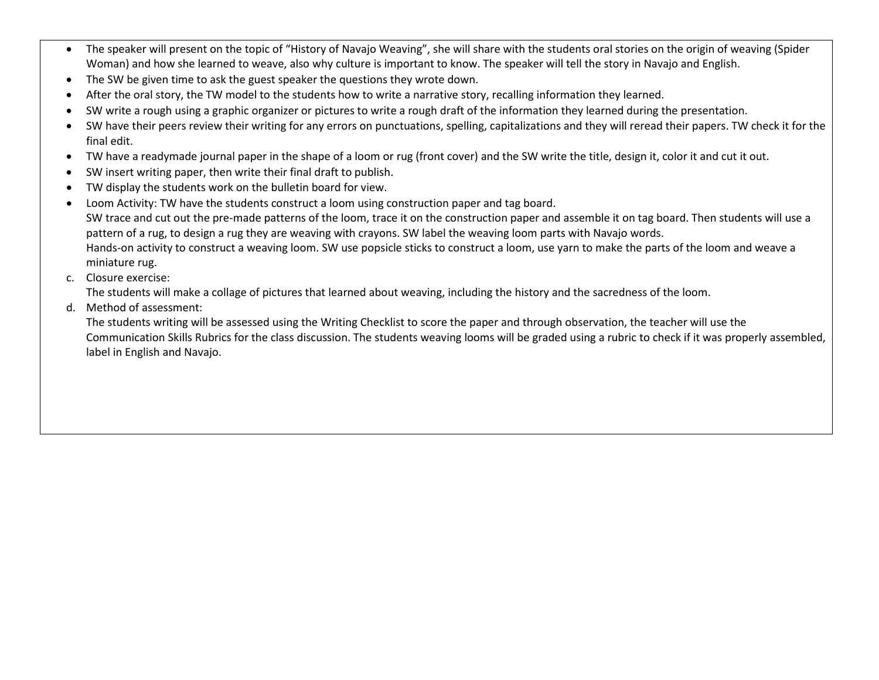- The speaker will present on the topic of "History of Navajo Weaving", she will share with the students oral stories on the origin of weaving (Spider Woman) and how she learned to weave, also why culture is important to know. The speaker will tell the story in Navajo and English.
- The SW be given time to ask the guest speaker the questions they wrote down.
- After the oral story, the TW model to the students how to write a narrative story, recalling information they learned.
- SW write a rough using a graphic organizer or pictures to write a rough draft of the information they learned during the presentation.
- SW have their peers review their writing for any errors on punctuations, spelling, capitalizations and they will reread their papers. TW check it for the final edit.
- TW have a readymade journal paper in the shape of a loom or rug (front cover) and the SW write the title, design it, color it and cut it out.
- SW insert writing paper, then write their final draft to publish.
- TW display the students work on the bulletin board for view.
- Loom Activity: TW have the students construct a loom using construction paper and tag board. SW trace and cut out the pre-made patterns of the loom, trace it on the construction paper and assemble it on tag board. Then students will use a pattern of a rug, to design a rug they are weaving with crayons. SW label the weaving loom parts with Navajo words. Hands-on activity to construct a weaving loom. SW use popsicle sticks to construct a loom, use yarn to make the parts of the loom and weave a miniature rug.
- c. Closure exercise:

The students will make a collage of pictures that learned about weaving, including the history and the sacredness of the loom.

d. Method of assessment:

The students writing will be assessed using the Writing Checklist to score the paper and through observation, the teacher will use the Communication Skills Rubrics for the class discussion. The students weaving looms will be graded using a rubric to check if it was properly assembled, label in English and Navajo.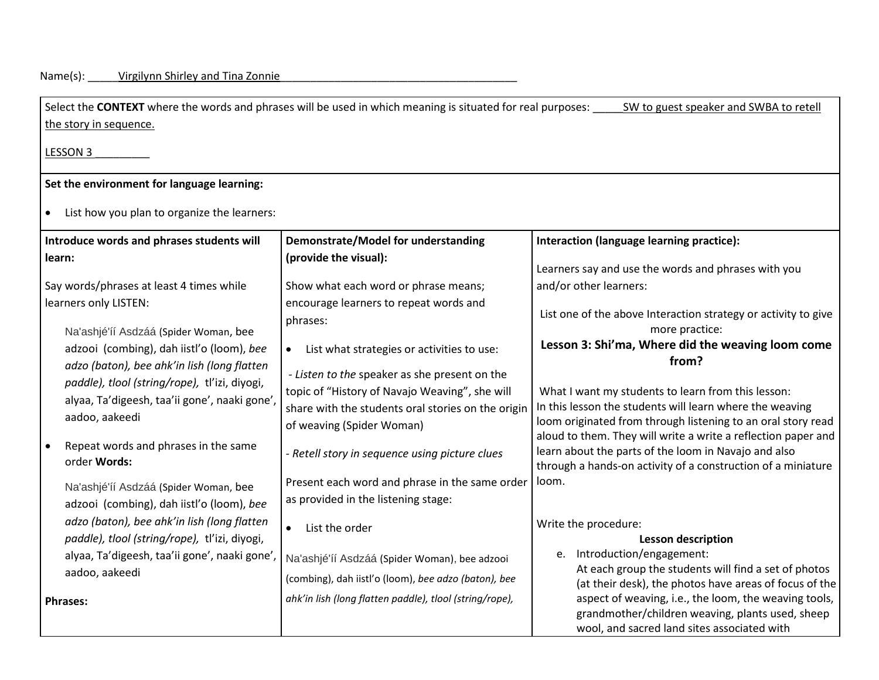| Select the CONTEXT where the words and phrases will be used in which meaning is situated for real purposes:<br>SW to guest speaker and SWBA to retell |                                                                                                      |                                                                                                                       |  |  |
|-------------------------------------------------------------------------------------------------------------------------------------------------------|------------------------------------------------------------------------------------------------------|-----------------------------------------------------------------------------------------------------------------------|--|--|
| the story in sequence.                                                                                                                                |                                                                                                      |                                                                                                                       |  |  |
| LESSON 3                                                                                                                                              |                                                                                                      |                                                                                                                       |  |  |
| Set the environment for language learning:                                                                                                            |                                                                                                      |                                                                                                                       |  |  |
| List how you plan to organize the learners:                                                                                                           |                                                                                                      |                                                                                                                       |  |  |
| Introduce words and phrases students will                                                                                                             | Demonstrate/Model for understanding                                                                  | Interaction (language learning practice):                                                                             |  |  |
| learn:                                                                                                                                                | (provide the visual):                                                                                | Learners say and use the words and phrases with you                                                                   |  |  |
| Say words/phrases at least 4 times while<br>learners only LISTEN:                                                                                     | Show what each word or phrase means;<br>encourage learners to repeat words and                       | and/or other learners:                                                                                                |  |  |
| Na'ashjé'íí Asdzáá (Spider Woman, bee                                                                                                                 | phrases:                                                                                             | List one of the above Interaction strategy or activity to give<br>more practice:                                      |  |  |
| adzooi (combing), dah iistl'o (loom), bee                                                                                                             | List what strategies or activities to use:<br>$\bullet$                                              | Lesson 3: Shi'ma, Where did the weaving loom come<br>from?                                                            |  |  |
| adzo (baton), bee ahk'in lish (long flatten<br>paddle), tlool (string/rope), tl'izi, diyogi,                                                          | - Listen to the speaker as she present on the                                                        |                                                                                                                       |  |  |
| alyaa, Ta'digeesh, taa'ii gone', naaki gone'                                                                                                          | topic of "History of Navajo Weaving", she will<br>share with the students oral stories on the origin | What I want my students to learn from this lesson:<br>In this lesson the students will learn where the weaving        |  |  |
| aadoo, aakeedi                                                                                                                                        | of weaving (Spider Woman)                                                                            | loom originated from through listening to an oral story read                                                          |  |  |
| Repeat words and phrases in the same                                                                                                                  |                                                                                                      | aloud to them. They will write a write a reflection paper and<br>learn about the parts of the loom in Navajo and also |  |  |
| order Words:                                                                                                                                          | - Retell story in sequence using picture clues                                                       | through a hands-on activity of a construction of a miniature                                                          |  |  |
| Na'ashjé'íí Asdzáá (Spider Woman, bee                                                                                                                 | Present each word and phrase in the same order                                                       | loom.                                                                                                                 |  |  |
| adzooi (combing), dah iistl'o (loom), bee                                                                                                             | as provided in the listening stage:                                                                  |                                                                                                                       |  |  |
| adzo (baton), bee ahk'in lish (long flatten<br>paddle), tlool (string/rope), tl'izi, diyogi,                                                          | List the order<br>$\bullet$                                                                          | Write the procedure:<br><b>Lesson description</b>                                                                     |  |  |
| alyaa, Ta'digeesh, taa'ii gone', naaki gone',                                                                                                         | Na'ashjé'íí Asdzáá (Spider Woman), bee adzooi                                                        | e. Introduction/engagement:                                                                                           |  |  |
| aadoo, aakeedi                                                                                                                                        | (combing), dah iistl'o (loom), bee adzo (baton), bee                                                 | At each group the students will find a set of photos                                                                  |  |  |
| <b>Phrases:</b>                                                                                                                                       | ahk'in lish (long flatten paddle), tlool (string/rope),                                              | (at their desk), the photos have areas of focus of the<br>aspect of weaving, i.e., the loom, the weaving tools,       |  |  |
|                                                                                                                                                       |                                                                                                      | grandmother/children weaving, plants used, sheep<br>wool, and sacred land sites associated with                       |  |  |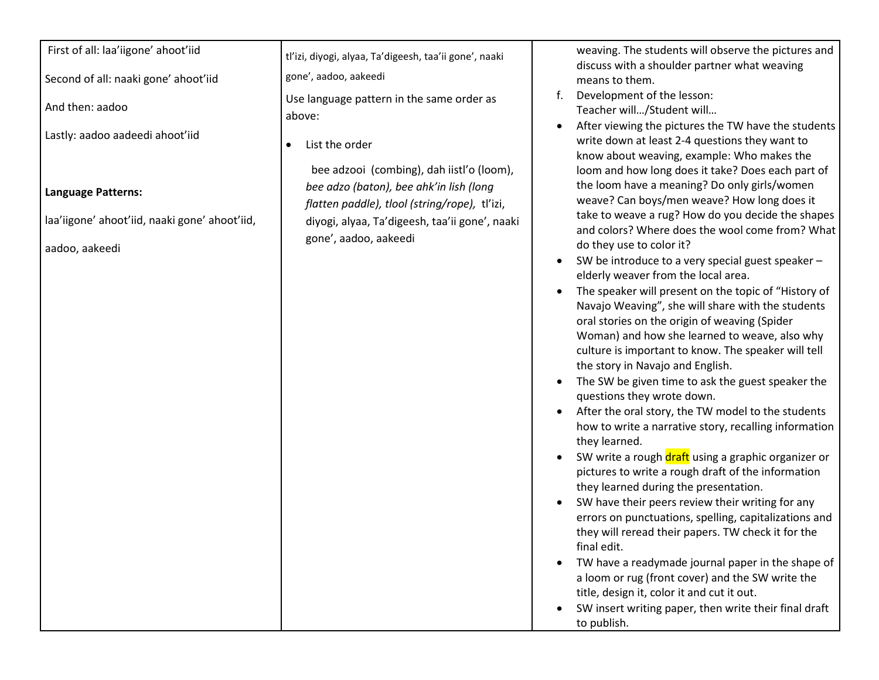## First of all: laa'iigone' ahoot'iid

Second of all: naaki gone' ahoot'iid

And then: aadoo

Lastly: aadoo aadeedi ahoot'iid

**Language Patterns:** 

laa'iigone' ahoot'iid, naaki gone' ahoot'iid,

aadoo, aakeedi

tl'izi, diyogi, alyaa, Ta'digeesh, taa'ii gone', naaki gone', aadoo, aakeedi

Use language pattern in the same order as above:

• List the order

bee adzooi (combing), dah iistl'o (loom), *bee adzo (baton), bee ahk'in lish (long flatten paddle), tlool (string/rope),* tl'izi, diyogi, alyaa, Ta'digeesh, taa'ii gone', naaki gone', aadoo, aakeedi

weaving. The students will observe the pictures and discuss with a shoulder partner what weaving means to them.

- f. Development of the lesson: Teacher will…/Student will…
- After viewing the pictures the TW have the students write down at least 2-4 questions they want to know about weaving, example: Who makes the loom and how long does it take? Does each part of the loom have a meaning? Do only girls/women weave? Can boys/men weave? How long does it take to weave a rug? How do you decide the shapes and colors? Where does the wool come from? What do they use to color it?
- SW be introduce to a very special guest speaker elderly weaver from the local area.
- The speaker will present on the topic of "History of Navajo Weaving", she will share with the students oral stories on the origin of weaving (Spider Woman) and how she learned to weave, also why culture is important to know. The speaker will tell the story in Navajo and English.
- The SW be given time to ask the guest speaker the questions they wrote down.
- After the oral story, the TW model to the students how to write a narrative story, recalling information they learned.
- SW write a rough draft using a graphic organizer or pictures to write a rough draft of the information they learned during the presentation.
- SW have their peers review their writing for any errors on punctuations, spelling, capitalizations and they will reread their papers. TW check it for the final edit.
- TW have a readymade journal paper in the shape of a loom or rug (front cover) and the SW write the title, design it, color it and cut it out.
- SW insert writing paper, then write their final draft to publish.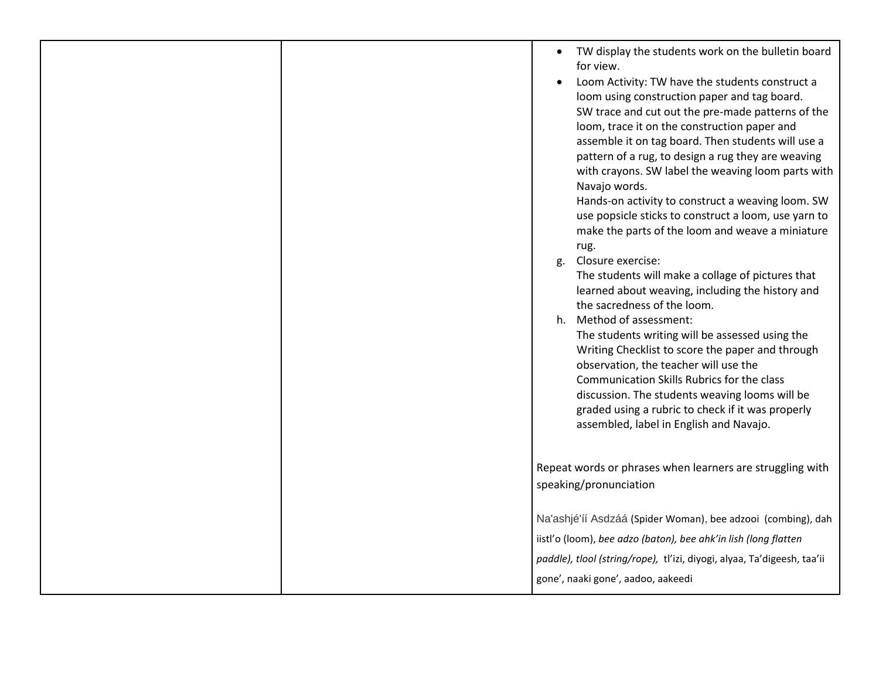|  | TW display the students work on the bulletin board<br>$\bullet$<br>for view.<br>Loom Activity: TW have the students construct a<br>loom using construction paper and tag board.<br>SW trace and cut out the pre-made patterns of the<br>loom, trace it on the construction paper and<br>assemble it on tag board. Then students will use a<br>pattern of a rug, to design a rug they are weaving<br>with crayons. SW label the weaving loom parts with<br>Navajo words.<br>Hands-on activity to construct a weaving loom. SW<br>use popsicle sticks to construct a loom, use yarn to<br>make the parts of the loom and weave a miniature<br>rug.<br>g. Closure exercise:<br>The students will make a collage of pictures that<br>learned about weaving, including the history and<br>the sacredness of the loom.<br>h. Method of assessment:<br>The students writing will be assessed using the<br>Writing Checklist to score the paper and through<br>observation, the teacher will use the<br>Communication Skills Rubrics for the class<br>discussion. The students weaving looms will be<br>graded using a rubric to check if it was properly<br>assembled, label in English and Navajo. |
|--|----------------------------------------------------------------------------------------------------------------------------------------------------------------------------------------------------------------------------------------------------------------------------------------------------------------------------------------------------------------------------------------------------------------------------------------------------------------------------------------------------------------------------------------------------------------------------------------------------------------------------------------------------------------------------------------------------------------------------------------------------------------------------------------------------------------------------------------------------------------------------------------------------------------------------------------------------------------------------------------------------------------------------------------------------------------------------------------------------------------------------------------------------------------------------------------------|
|  | Repeat words or phrases when learners are struggling with<br>speaking/pronunciation                                                                                                                                                                                                                                                                                                                                                                                                                                                                                                                                                                                                                                                                                                                                                                                                                                                                                                                                                                                                                                                                                                          |
|  | Na'ashjé'íí Asdzáá (Spider Woman), bee adzooi (combing), dah<br>iistl'o (loom), bee adzo (baton), bee ahk'in lish (long flatten<br>paddle), tlool (string/rope), tl'izi, diyogi, alyaa, Ta'digeesh, taa'ii<br>gone', naaki gone', aadoo, aakeedi                                                                                                                                                                                                                                                                                                                                                                                                                                                                                                                                                                                                                                                                                                                                                                                                                                                                                                                                             |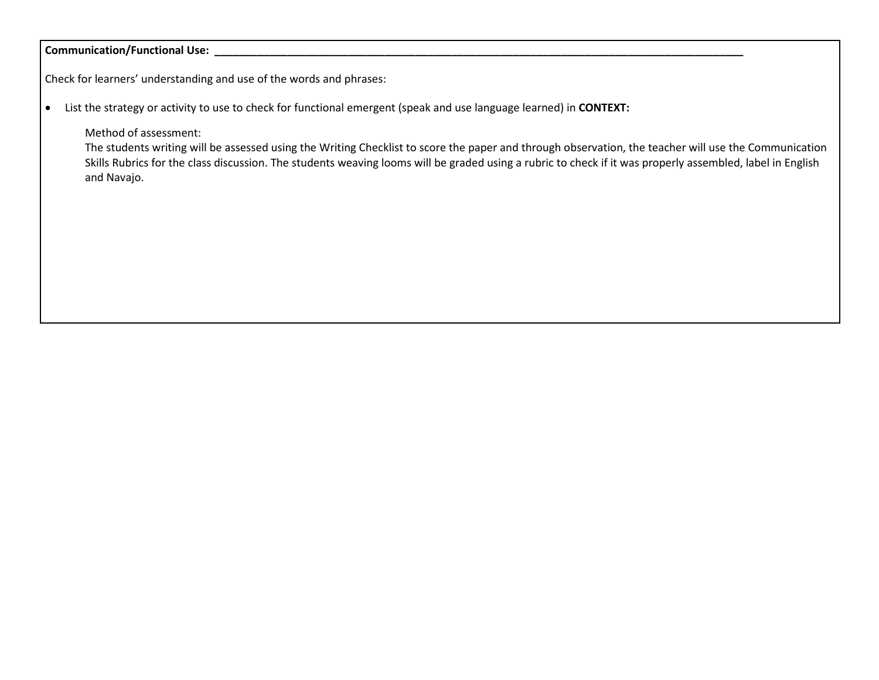#### Communication/Functional Use: \_\_\_

Check for learners' understanding and use of the words and phrases:

• List the strategy or activity to use to check for functional emergent (speak and use language learned) in **CONTEXT:**

Method of assessment:

The students writing will be assessed using the Writing Checklist to score the paper and through observation, the teacher will use the Communication Skills Rubrics for the class discussion. The students weaving looms will be graded using a rubric to check if it was properly assembled, label in English and Navajo.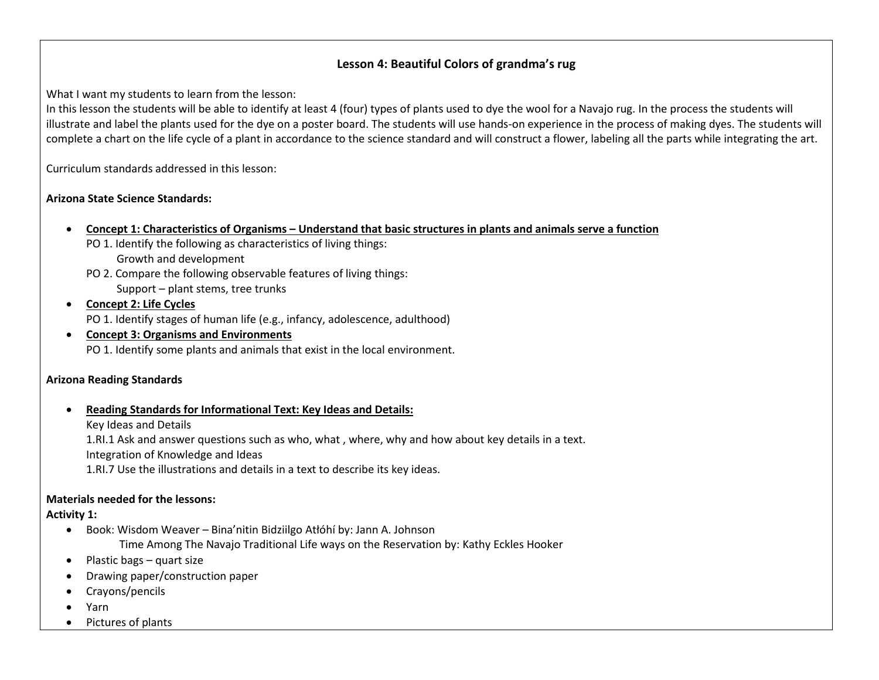## **Lesson 4: Beautiful Colors of grandma's rug**

What I want my students to learn from the lesson:

In this lesson the students will be able to identify at least 4 (four) types of plants used to dye the wool for a Navajo rug. In the process the students will illustrate and label the plants used for the dye on a poster board. The students will use hands-on experience in the process of making dyes. The students will complete a chart on the life cycle of a plant in accordance to the science standard and will construct a flower, labeling all the parts while integrating the art.

Curriculum standards addressed in this lesson:

## **Arizona State Science Standards:**

- **Concept 1: Characteristics of Organisms – Understand that basic structures in plants and animals serve a function**
	- PO 1. Identify the following as characteristics of living things: Growth and development
	- PO 2. Compare the following observable features of living things: Support – plant stems, tree trunks
- **Concept 2: Life Cycles** PO 1. Identify stages of human life (e.g., infancy, adolescence, adulthood)
- **Concept 3: Organisms and Environments** PO 1. Identify some plants and animals that exist in the local environment.

## **Arizona Reading Standards**

• **Reading Standards for Informational Text: Key Ideas and Details:**

Key Ideas and Details

1.RI.1 Ask and answer questions such as who, what , where, why and how about key details in a text.

Integration of Knowledge and Ideas

1.RI.7 Use the illustrations and details in a text to describe its key ideas.

## **Materials needed for the lessons:**

**Activity 1:**

- Book: Wisdom Weaver Bina'nitin Bidziilgo Atłóhí by: Jann A. Johnson Time Among The Navajo Traditional Life ways on the Reservation by: Kathy Eckles Hooker
- Plastic bags quart size
- Drawing paper/construction paper
- Crayons/pencils
- Yarn
- Pictures of plants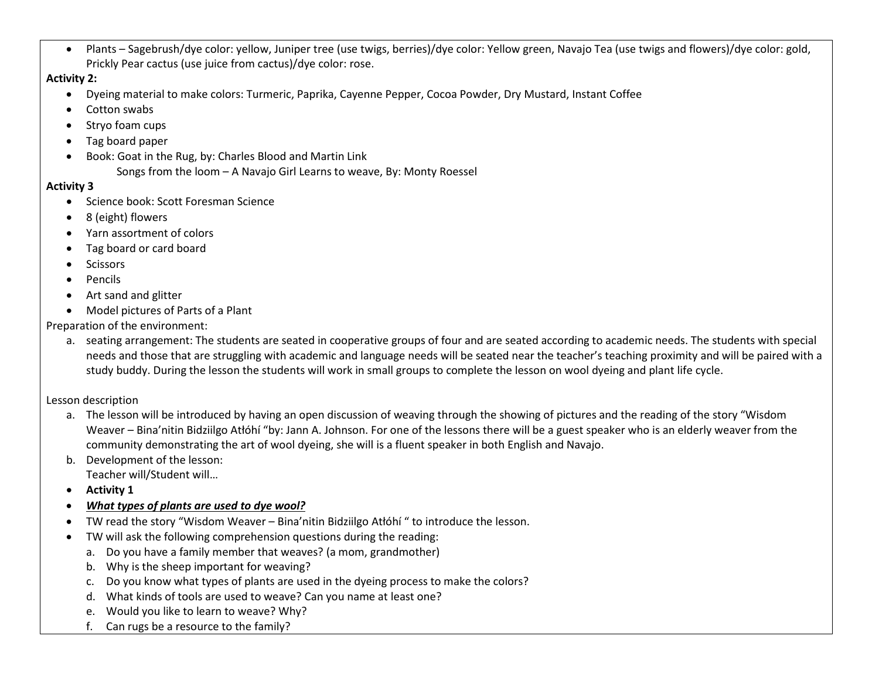• Plants – Sagebrush/dye color: yellow, Juniper tree (use twigs, berries)/dye color: Yellow green, Navajo Tea (use twigs and flowers)/dye color: gold, Prickly Pear cactus (use juice from cactus)/dye color: rose.

**Activity 2:**

- Dyeing material to make colors: Turmeric, Paprika, Cayenne Pepper, Cocoa Powder, Dry Mustard, Instant Coffee
- Cotton swabs
- Stryo foam cups
- Tag board paper
- Book: Goat in the Rug, by: Charles Blood and Martin Link Songs from the loom – A Navajo Girl Learns to weave, By: Monty Roessel

## **Activity 3**

- Science book: Scott Foresman Science
- 8 (eight) flowers
- Yarn assortment of colors
- Tag board or card board
- **Scissors**
- Pencils
- Art sand and glitter
- Model pictures of Parts of a Plant

Preparation of the environment:

a. seating arrangement: The students are seated in cooperative groups of four and are seated according to academic needs. The students with special needs and those that are struggling with academic and language needs will be seated near the teacher's teaching proximity and will be paired with a study buddy. During the lesson the students will work in small groups to complete the lesson on wool dyeing and plant life cycle.

Lesson description

- a. The lesson will be introduced by having an open discussion of weaving through the showing of pictures and the reading of the story "Wisdom Weaver – Bina'nitin Bidziilgo Atłóhí "by: Jann A. Johnson. For one of the lessons there will be a guest speaker who is an elderly weaver from the community demonstrating the art of wool dyeing, she will is a fluent speaker in both English and Navajo.
- b. Development of the lesson:

Teacher will/Student will…

- **Activity 1**
- *What types of plants are used to dye wool?*
- TW read the story "Wisdom Weaver Bina'nitin Bidziilgo Atłóhí " to introduce the lesson.
- TW will ask the following comprehension questions during the reading:
	- a. Do you have a family member that weaves? (a mom, grandmother)
	- b. Why is the sheep important for weaving?
	- c. Do you know what types of plants are used in the dyeing process to make the colors?
	- d. What kinds of tools are used to weave? Can you name at least one?
	- e. Would you like to learn to weave? Why?
	- f. Can rugs be a resource to the family?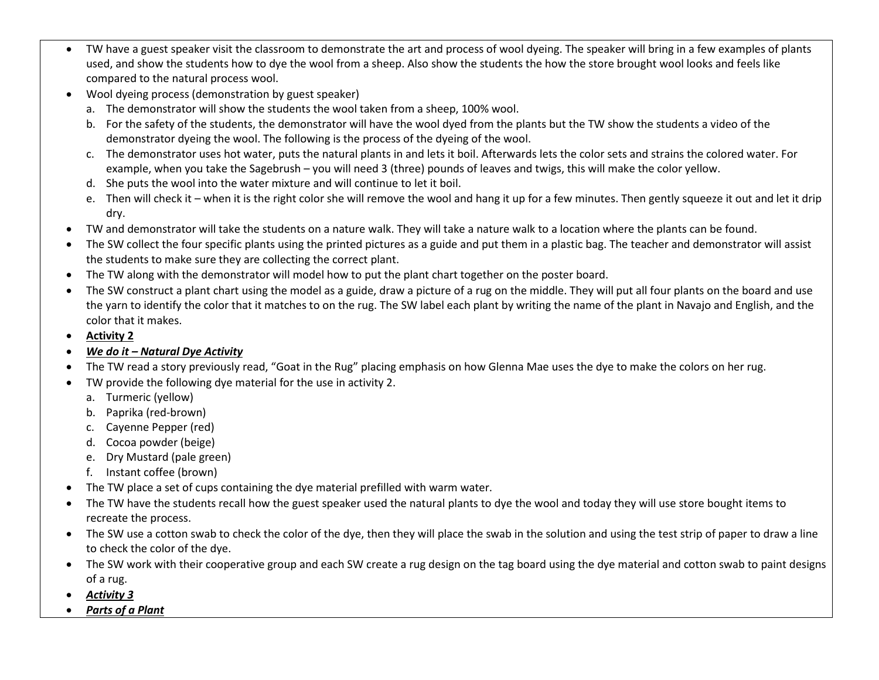- TW have a guest speaker visit the classroom to demonstrate the art and process of wool dyeing. The speaker will bring in a few examples of plants used, and show the students how to dye the wool from a sheep. Also show the students the how the store brought wool looks and feels like compared to the natural process wool.
- Wool dyeing process (demonstration by guest speaker)
	- a. The demonstrator will show the students the wool taken from a sheep, 100% wool.
	- b. For the safety of the students, the demonstrator will have the wool dyed from the plants but the TW show the students a video of the demonstrator dyeing the wool. The following is the process of the dyeing of the wool.
	- c. The demonstrator uses hot water, puts the natural plants in and lets it boil. Afterwards lets the color sets and strains the colored water. For example, when you take the Sagebrush – you will need 3 (three) pounds of leaves and twigs, this will make the color yellow.
	- d. She puts the wool into the water mixture and will continue to let it boil.
	- e. Then will check it when it is the right color she will remove the wool and hang it up for a few minutes. Then gently squeeze it out and let it drip dry.
- TW and demonstrator will take the students on a nature walk. They will take a nature walk to a location where the plants can be found.
- The SW collect the four specific plants using the printed pictures as a guide and put them in a plastic bag. The teacher and demonstrator will assist the students to make sure they are collecting the correct plant.
- The TW along with the demonstrator will model how to put the plant chart together on the poster board.
- The SW construct a plant chart using the model as a guide, draw a picture of a rug on the middle. They will put all four plants on the board and use the yarn to identify the color that it matches to on the rug. The SW label each plant by writing the name of the plant in Navajo and English, and the color that it makes.
- **Activity 2**
- *We do it – Natural Dye Activity*
- The TW read a story previously read, "Goat in the Rug" placing emphasis on how Glenna Mae uses the dye to make the colors on her rug.
- TW provide the following dye material for the use in activity 2.
	- a. Turmeric (yellow)
	- b. Paprika (red-brown)
	- c. Cayenne Pepper (red)
	- d. Cocoa powder (beige)
	- e. Dry Mustard (pale green)
	- f. Instant coffee (brown)
- The TW place a set of cups containing the dye material prefilled with warm water.
- The TW have the students recall how the guest speaker used the natural plants to dye the wool and today they will use store bought items to recreate the process.
- The SW use a cotton swab to check the color of the dye, then they will place the swab in the solution and using the test strip of paper to draw a line to check the color of the dye.
- The SW work with their cooperative group and each SW create a rug design on the tag board using the dye material and cotton swab to paint designs of a rug.
- *Activity 3*
- *Parts of a Plant*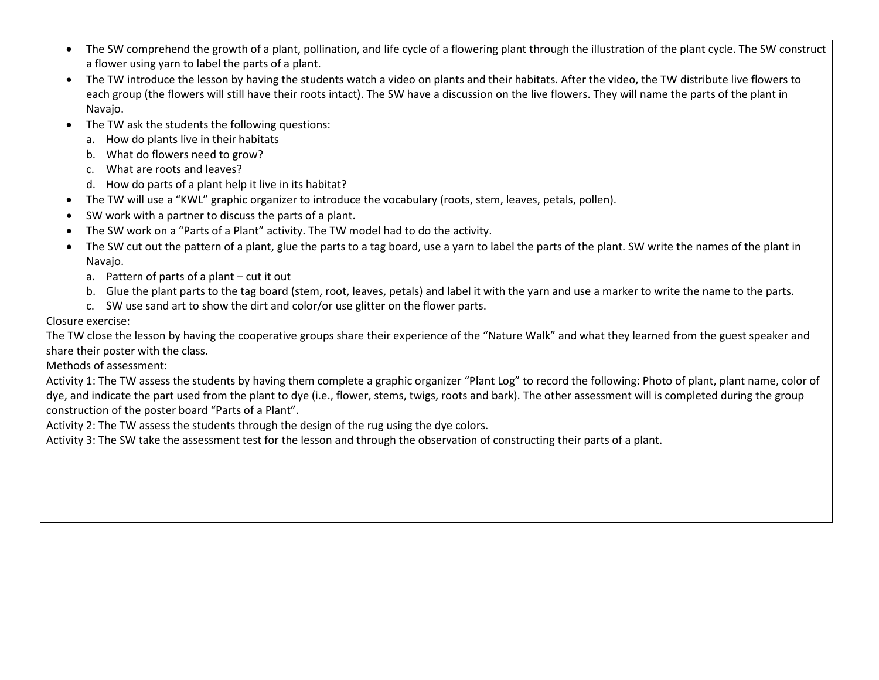- The SW comprehend the growth of a plant, pollination, and life cycle of a flowering plant through the illustration of the plant cycle. The SW construct a flower using yarn to label the parts of a plant.
- The TW introduce the lesson by having the students watch a video on plants and their habitats. After the video, the TW distribute live flowers to each group (the flowers will still have their roots intact). The SW have a discussion on the live flowers. They will name the parts of the plant in Navajo.
- The TW ask the students the following questions:
	- a. How do plants live in their habitats
	- b. What do flowers need to grow?
	- c. What are roots and leaves?
	- d. How do parts of a plant help it live in its habitat?
- The TW will use a "KWL" graphic organizer to introduce the vocabulary (roots, stem, leaves, petals, pollen).
- SW work with a partner to discuss the parts of a plant.
- The SW work on a "Parts of a Plant" activity. The TW model had to do the activity.
- The SW cut out the pattern of a plant, glue the parts to a tag board, use a yarn to label the parts of the plant. SW write the names of the plant in Navajo.
	- a. Pattern of parts of a plant cut it out
	- b. Glue the plant parts to the tag board (stem, root, leaves, petals) and label it with the yarn and use a marker to write the name to the parts.
	- c. SW use sand art to show the dirt and color/or use glitter on the flower parts.

# Closure exercise:

The TW close the lesson by having the cooperative groups share their experience of the "Nature Walk" and what they learned from the guest speaker and share their poster with the class.

Methods of assessment:

Activity 1: The TW assess the students by having them complete a graphic organizer "Plant Log" to record the following: Photo of plant, plant name, color of dye, and indicate the part used from the plant to dye (i.e., flower, stems, twigs, roots and bark). The other assessment will is completed during the group construction of the poster board "Parts of a Plant".

Activity 2: The TW assess the students through the design of the rug using the dye colors.

Activity 3: The SW take the assessment test for the lesson and through the observation of constructing their parts of a plant.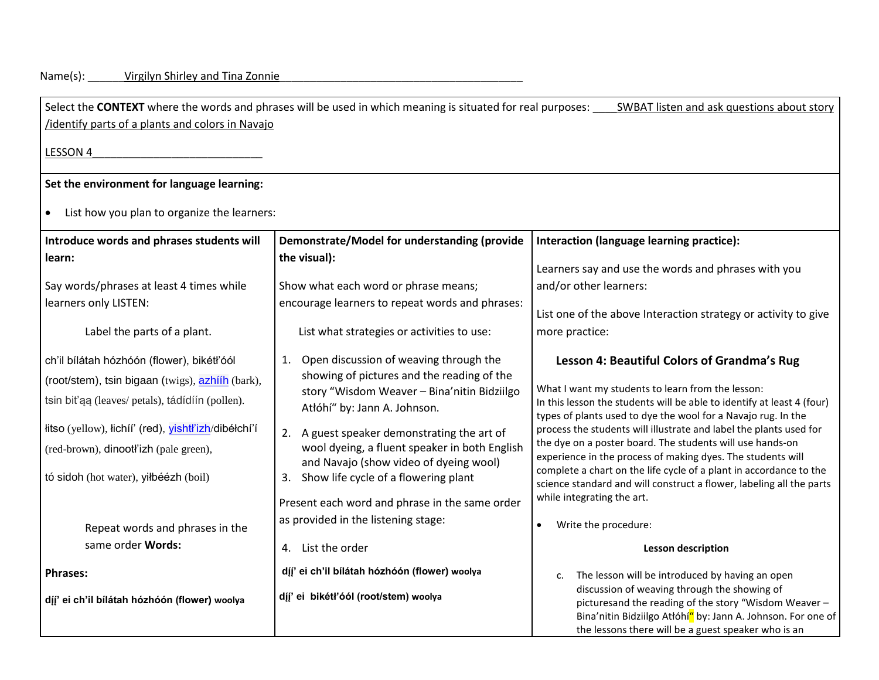## Name(s): \_\_\_\_\_\_\_Virgilyn Shirley and Tina Zonnie \_\_\_\_\_\_\_\_\_\_\_\_\_\_\_\_\_\_\_\_\_\_\_\_\_\_\_\_\_\_\_\_

| identify parts of a plants and colors in Navajo                                                                                                                                                                                                                                                                                                              | Select the CONTEXT where the words and phrases will be used in which meaning is situated for real purposes:                                                                                                                                                                                                                                                                                                                                                               | SWBAT listen and ask questions about story                                                                                                                                                                                                                                                                                                                                                                                                                                                                                                                                                                                                        |
|--------------------------------------------------------------------------------------------------------------------------------------------------------------------------------------------------------------------------------------------------------------------------------------------------------------------------------------------------------------|---------------------------------------------------------------------------------------------------------------------------------------------------------------------------------------------------------------------------------------------------------------------------------------------------------------------------------------------------------------------------------------------------------------------------------------------------------------------------|---------------------------------------------------------------------------------------------------------------------------------------------------------------------------------------------------------------------------------------------------------------------------------------------------------------------------------------------------------------------------------------------------------------------------------------------------------------------------------------------------------------------------------------------------------------------------------------------------------------------------------------------------|
| LESSON 4                                                                                                                                                                                                                                                                                                                                                     |                                                                                                                                                                                                                                                                                                                                                                                                                                                                           |                                                                                                                                                                                                                                                                                                                                                                                                                                                                                                                                                                                                                                                   |
| Set the environment for language learning:                                                                                                                                                                                                                                                                                                                   |                                                                                                                                                                                                                                                                                                                                                                                                                                                                           |                                                                                                                                                                                                                                                                                                                                                                                                                                                                                                                                                                                                                                                   |
| List how you plan to organize the learners:<br>$\bullet$                                                                                                                                                                                                                                                                                                     |                                                                                                                                                                                                                                                                                                                                                                                                                                                                           |                                                                                                                                                                                                                                                                                                                                                                                                                                                                                                                                                                                                                                                   |
| Introduce words and phrases students will                                                                                                                                                                                                                                                                                                                    | Demonstrate/Model for understanding (provide                                                                                                                                                                                                                                                                                                                                                                                                                              | Interaction (language learning practice):                                                                                                                                                                                                                                                                                                                                                                                                                                                                                                                                                                                                         |
| learn:<br>Say words/phrases at least 4 times while<br>learners only LISTEN:                                                                                                                                                                                                                                                                                  | the visual):<br>Show what each word or phrase means;<br>encourage learners to repeat words and phrases:                                                                                                                                                                                                                                                                                                                                                                   | Learners say and use the words and phrases with you<br>and/or other learners:                                                                                                                                                                                                                                                                                                                                                                                                                                                                                                                                                                     |
| Label the parts of a plant.                                                                                                                                                                                                                                                                                                                                  | List what strategies or activities to use:                                                                                                                                                                                                                                                                                                                                                                                                                                | List one of the above Interaction strategy or activity to give<br>more practice:                                                                                                                                                                                                                                                                                                                                                                                                                                                                                                                                                                  |
| ch'il bílátah hózhóón (flower), bikétł'óól<br>(root/stem), tsin bigaan (twigs), azhijh (bark),<br>tsin bit'aa (leaves/ petals), tádídíín (pollen).<br>łitso (yellow), łichíí' (red), <i>yishtł'izh/dibéłchí'í</i><br>(red-brown), dinootl'izh (pale green),<br>tó sidoh (hot water), yiłbéézh (boil)<br>Repeat words and phrases in the<br>same order Words: | 1. Open discussion of weaving through the<br>showing of pictures and the reading of the<br>story "Wisdom Weaver - Bina'nitin Bidziilgo<br>Atłóhí" by: Jann A. Johnson.<br>2. A guest speaker demonstrating the art of<br>wool dyeing, a fluent speaker in both English<br>and Navajo (show video of dyeing wool)<br>3. Show life cycle of a flowering plant<br>Present each word and phrase in the same order<br>as provided in the listening stage:<br>4. List the order | Lesson 4: Beautiful Colors of Grandma's Rug<br>What I want my students to learn from the lesson:<br>In this lesson the students will be able to identify at least 4 (four)<br>types of plants used to dye the wool for a Navajo rug. In the<br>process the students will illustrate and label the plants used for<br>the dye on a poster board. The students will use hands-on<br>experience in the process of making dyes. The students will<br>complete a chart on the life cycle of a plant in accordance to the<br>science standard and will construct a flower, labeling all the parts<br>while integrating the art.<br>Write the procedure: |
| <b>Phrases:</b><br>díj' ei ch'il bílátah hózhóón (flower) woolya                                                                                                                                                                                                                                                                                             | díj' ei ch'il bílátah hózhóón (flower) woolya<br>díj' ei bikétł'óól (root/stem) woolya                                                                                                                                                                                                                                                                                                                                                                                    | <b>Lesson description</b><br>The lesson will be introduced by having an open<br>C.<br>discussion of weaving through the showing of<br>picturesand the reading of the story "Wisdom Weaver -<br>Bina'nitin Bidziilgo Atłóhí" by: Jann A. Johnson. For one of<br>the lessons there will be a guest speaker who is an                                                                                                                                                                                                                                                                                                                                |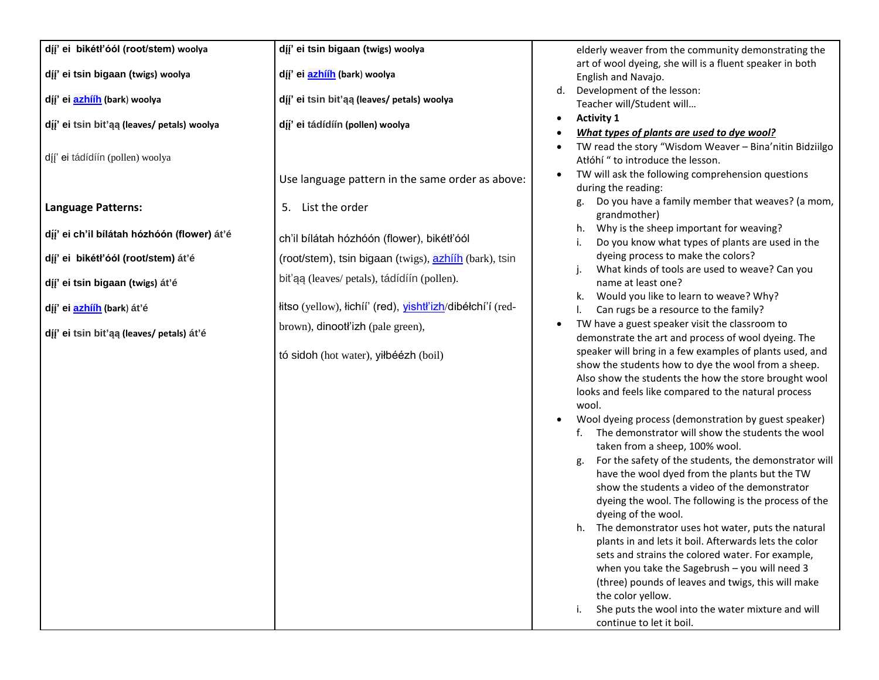|  |  | díj' ei bikétł'óól (root/stem) woolya |  |
|--|--|---------------------------------------|--|
|--|--|---------------------------------------|--|

**d�́ �́ ' ei tsin bigaan (twigs) woolya**

**d�́ �́ ' ei [azhííh](https://glosbe.com/nv/en/azh%C3%AD%C3%ADh) (bark**) **woolya**

**d�́ �́ ' ei tsin bit'ąą (leaves/ petals) woolya**

d�́ �́ ' ei tádídíín (pollen) woolya

## **Language Patterns:**

**d�́ �́ ' ei ch'il bílátah hózhóón (flower) át'é**

**d�́ �́ ' ei bikétł'óól (root/stem) át'é**

**d�́ �́ ' ei tsin bigaan (twigs) át'é**

**d�́ �́ ' ei [azhííh](https://glosbe.com/nv/en/azh%C3%AD%C3%ADh) (bark**) **át'é**

**d�́ �́ ' ei tsin bit'ąą (leaves/ petals) át'é**

**d�́ �́ ' ei tsin bigaan (twigs) woolya**

**d�́ �́ ' ei [azhííh](https://glosbe.com/nv/en/azh%C3%AD%C3%ADh) (bark**) **woolya**

**d�́ �́ ' ei tsin bit'ąą (leaves/ petals) woolya**

**d�́ �́ ' ei tádídíín (pollen) woolya**

Use language pattern in the same order as above:

5. List the order

ch'il bílátah hózhóón (flower), bikétł'óól (root/stem), tsin bigaan (twigs), [azhííh](https://glosbe.com/nv/en/azh%C3%AD%C3%ADh) (bark), tsin bit'ąą (leaves/ petals), tádídíín (pollen).

łitso (yellow), łichíí' (red), [yishtł'izh](https://glosbe.com/nv/en/yisht%C5%82%CA%BCizh)/dibéłchí'í (redbrown), dinootł'izh (pale green),

tó sidoh (hot water), yiłbéézh (boil)

elderly weaver from the community demonstrating the art of wool dyeing, she will is a fluent speaker in both English and Navajo.

- d. Development of the lesson: Teacher will/Student will…
- **Activity 1**
- *What types of plants are used to dye wool?*
- TW read the story "Wisdom Weaver Bina'nitin Bidziilgo Atłóhí " to introduce the lesson.
- TW will ask the following comprehension questions during the reading:
	- g. Do you have a family member that weaves? (a mom, grandmother)
	- h. Why is the sheep important for weaving?
	- i. Do you know what types of plants are used in the dyeing process to make the colors?
	- j. What kinds of tools are used to weave? Can you name at least one?
	- k. Would you like to learn to weave? Why?
	- l. Can rugs be a resource to the family?
- TW have a guest speaker visit the classroom to demonstrate the art and process of wool dyeing. The speaker will bring in a few examples of plants used, and show the students how to dye the wool from a sheep. Also show the students the how the store brought wool looks and feels like compared to the natural process wool.
- Wool dyeing process (demonstration by guest speaker)
	- f. The demonstrator will show the students the wool taken from a sheep, 100% wool.
	- g. For the safety of the students, the demonstrator will have the wool dyed from the plants but the TW show the students a video of the demonstrator dyeing the wool. The following is the process of the dyeing of the wool.
	- h. The demonstrator uses hot water, puts the natural plants in and lets it boil. Afterwards lets the color sets and strains the colored water. For example, when you take the Sagebrush – you will need 3 (three) pounds of leaves and twigs, this will make the color yellow.
	- i. She puts the wool into the water mixture and will continue to let it boil.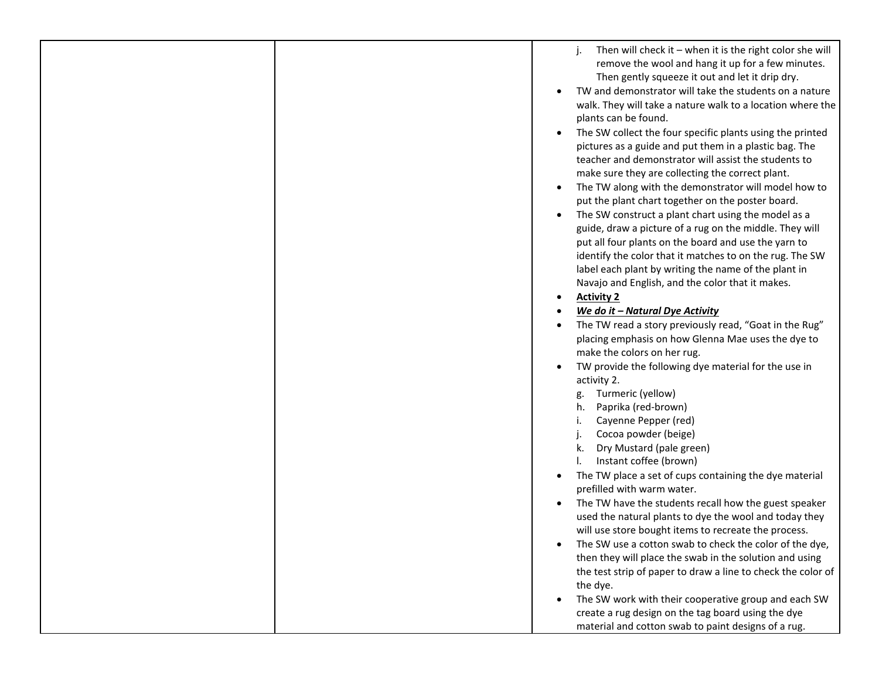|  | Then will check it $-$ when it is the right color she will<br>remove the wool and hang it up for a few minutes.<br>Then gently squeeze it out and let it drip dry.<br>TW and demonstrator will take the students on a nature<br>walk. They will take a nature walk to a location where the<br>plants can be found.<br>The SW collect the four specific plants using the printed<br>pictures as a guide and put them in a plastic bag. The<br>teacher and demonstrator will assist the students to<br>make sure they are collecting the correct plant.<br>The TW along with the demonstrator will model how to<br>put the plant chart together on the poster board.<br>The SW construct a plant chart using the model as a<br>guide, draw a picture of a rug on the middle. They will<br>put all four plants on the board and use the yarn to<br>identify the color that it matches to on the rug. The SW<br>label each plant by writing the name of the plant in<br>Navajo and English, and the color that it makes.<br><b>Activity 2</b><br>We do it - Natural Dye Activity<br>The TW read a story previously read, "Goat in the Rug"<br>placing emphasis on how Glenna Mae uses the dye to<br>make the colors on her rug.<br>TW provide the following dye material for the use in<br>activity 2.<br>g. Turmeric (yellow)<br>Paprika (red-brown)<br>h.<br>Cayenne Pepper (red)<br>i.<br>Cocoa powder (beige)<br>Dry Mustard (pale green)<br>k.<br>Instant coffee (brown)<br>The TW place a set of cups containing the dye material<br>prefilled with warm water.<br>The TW have the students recall how the guest speaker<br>used the natural plants to dye the wool and today they<br>will use store bought items to recreate the process.<br>The SW use a cotton swab to check the color of the dye,<br>then they will place the swab in the solution and using |
|--|--------------------------------------------------------------------------------------------------------------------------------------------------------------------------------------------------------------------------------------------------------------------------------------------------------------------------------------------------------------------------------------------------------------------------------------------------------------------------------------------------------------------------------------------------------------------------------------------------------------------------------------------------------------------------------------------------------------------------------------------------------------------------------------------------------------------------------------------------------------------------------------------------------------------------------------------------------------------------------------------------------------------------------------------------------------------------------------------------------------------------------------------------------------------------------------------------------------------------------------------------------------------------------------------------------------------------------------------------------------------------------------------------------------------------------------------------------------------------------------------------------------------------------------------------------------------------------------------------------------------------------------------------------------------------------------------------------------------------------------------------------------------------------------------------------------------------------------------------------------------|
|  |                                                                                                                                                                                                                                                                                                                                                                                                                                                                                                                                                                                                                                                                                                                                                                                                                                                                                                                                                                                                                                                                                                                                                                                                                                                                                                                                                                                                                                                                                                                                                                                                                                                                                                                                                                                                                                                                    |
|  |                                                                                                                                                                                                                                                                                                                                                                                                                                                                                                                                                                                                                                                                                                                                                                                                                                                                                                                                                                                                                                                                                                                                                                                                                                                                                                                                                                                                                                                                                                                                                                                                                                                                                                                                                                                                                                                                    |
|  | the test strip of paper to draw a line to check the color of<br>the dye.                                                                                                                                                                                                                                                                                                                                                                                                                                                                                                                                                                                                                                                                                                                                                                                                                                                                                                                                                                                                                                                                                                                                                                                                                                                                                                                                                                                                                                                                                                                                                                                                                                                                                                                                                                                           |
|  | The SW work with their cooperative group and each SW                                                                                                                                                                                                                                                                                                                                                                                                                                                                                                                                                                                                                                                                                                                                                                                                                                                                                                                                                                                                                                                                                                                                                                                                                                                                                                                                                                                                                                                                                                                                                                                                                                                                                                                                                                                                               |
|  | create a rug design on the tag board using the dye                                                                                                                                                                                                                                                                                                                                                                                                                                                                                                                                                                                                                                                                                                                                                                                                                                                                                                                                                                                                                                                                                                                                                                                                                                                                                                                                                                                                                                                                                                                                                                                                                                                                                                                                                                                                                 |
|  | material and cotton swab to paint designs of a rug.                                                                                                                                                                                                                                                                                                                                                                                                                                                                                                                                                                                                                                                                                                                                                                                                                                                                                                                                                                                                                                                                                                                                                                                                                                                                                                                                                                                                                                                                                                                                                                                                                                                                                                                                                                                                                |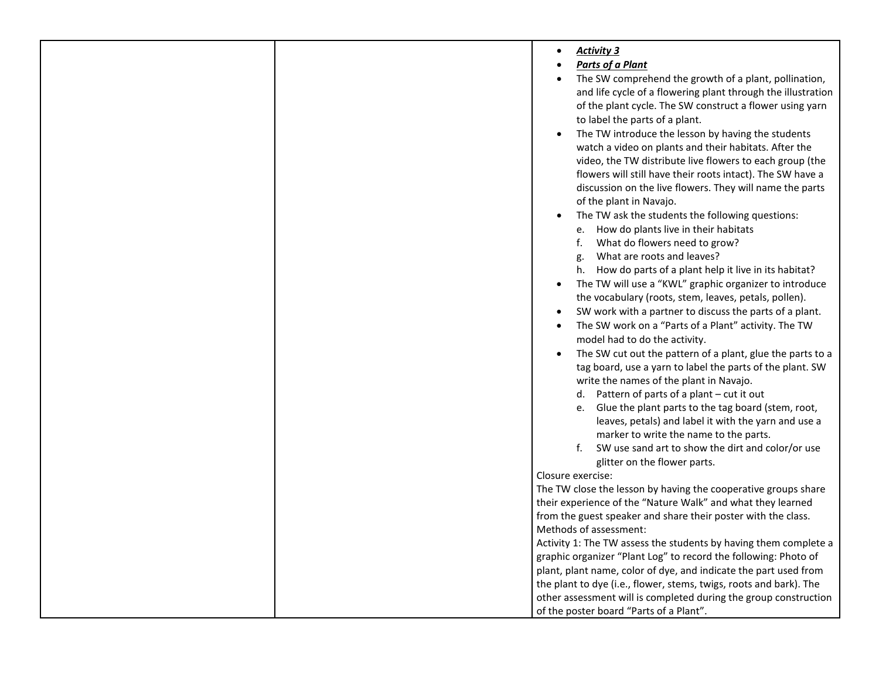|  | <b>Activity 3</b><br>$\bullet$                                          |
|--|-------------------------------------------------------------------------|
|  | <b>Parts of a Plant</b><br>$\bullet$                                    |
|  | The SW comprehend the growth of a plant, pollination,<br>$\bullet$      |
|  | and life cycle of a flowering plant through the illustration            |
|  | of the plant cycle. The SW construct a flower using yarn                |
|  | to label the parts of a plant.                                          |
|  | The TW introduce the lesson by having the students<br>$\bullet$         |
|  | watch a video on plants and their habitats. After the                   |
|  | video, the TW distribute live flowers to each group (the                |
|  | flowers will still have their roots intact). The SW have a              |
|  | discussion on the live flowers. They will name the parts                |
|  | of the plant in Navajo.                                                 |
|  | The TW ask the students the following questions:                        |
|  | e. How do plants live in their habitats                                 |
|  | What do flowers need to grow?<br>f.                                     |
|  | What are roots and leaves?<br>g.                                        |
|  | h. How do parts of a plant help it live in its habitat?                 |
|  |                                                                         |
|  | The TW will use a "KWL" graphic organizer to introduce<br>$\bullet$     |
|  | the vocabulary (roots, stem, leaves, petals, pollen).                   |
|  | SW work with a partner to discuss the parts of a plant.<br>$\bullet$    |
|  | The SW work on a "Parts of a Plant" activity. The TW                    |
|  | model had to do the activity.                                           |
|  | The SW cut out the pattern of a plant, glue the parts to a<br>$\bullet$ |
|  | tag board, use a yarn to label the parts of the plant. SW               |
|  | write the names of the plant in Navajo.                                 |
|  | d. Pattern of parts of a plant - cut it out                             |
|  | e. Glue the plant parts to the tag board (stem, root,                   |
|  | leaves, petals) and label it with the yarn and use a                    |
|  | marker to write the name to the parts.                                  |
|  | f. SW use sand art to show the dirt and color/or use                    |
|  | glitter on the flower parts.                                            |
|  | Closure exercise:                                                       |
|  | The TW close the lesson by having the cooperative groups share          |
|  | their experience of the "Nature Walk" and what they learned             |
|  | from the guest speaker and share their poster with the class.           |
|  | Methods of assessment:                                                  |
|  | Activity 1: The TW assess the students by having them complete a        |
|  | graphic organizer "Plant Log" to record the following: Photo of         |
|  | plant, plant name, color of dye, and indicate the part used from        |
|  | the plant to dye (i.e., flower, stems, twigs, roots and bark). The      |
|  | other assessment will is completed during the group construction        |
|  | of the poster board "Parts of a Plant".                                 |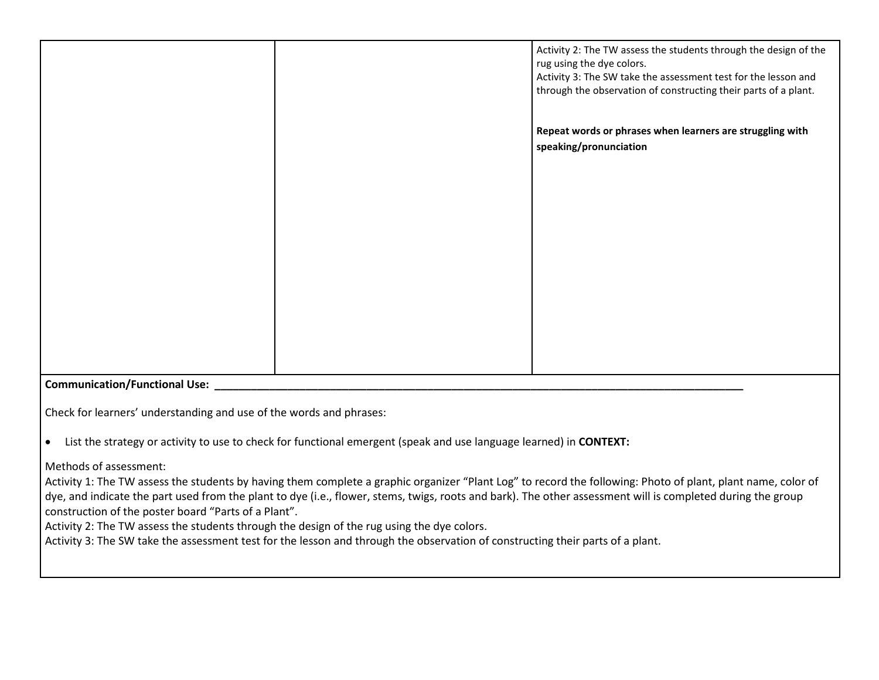|                                      | Activity 2: The TW assess the students through the design of the<br>rug using the dye colors.<br>Activity 3: The SW take the assessment test for the lesson and<br>through the observation of constructing their parts of a plant. |
|--------------------------------------|------------------------------------------------------------------------------------------------------------------------------------------------------------------------------------------------------------------------------------|
|                                      | Repeat words or phrases when learners are struggling with<br>speaking/pronunciation                                                                                                                                                |
|                                      |                                                                                                                                                                                                                                    |
|                                      |                                                                                                                                                                                                                                    |
|                                      |                                                                                                                                                                                                                                    |
| <b>Communication/Functional Use:</b> |                                                                                                                                                                                                                                    |

Check for learners' understanding and use of the words and phrases:

• List the strategy or activity to use to check for functional emergent (speak and use language learned) in **CONTEXT:**

Methods of assessment:

Activity 1: The TW assess the students by having them complete a graphic organizer "Plant Log" to record the following: Photo of plant, plant name, color of dye, and indicate the part used from the plant to dye (i.e., flower, stems, twigs, roots and bark). The other assessment will is completed during the group construction of the poster board "Parts of a Plant".

Activity 2: The TW assess the students through the design of the rug using the dye colors.

Activity 3: The SW take the assessment test for the lesson and through the observation of constructing their parts of a plant.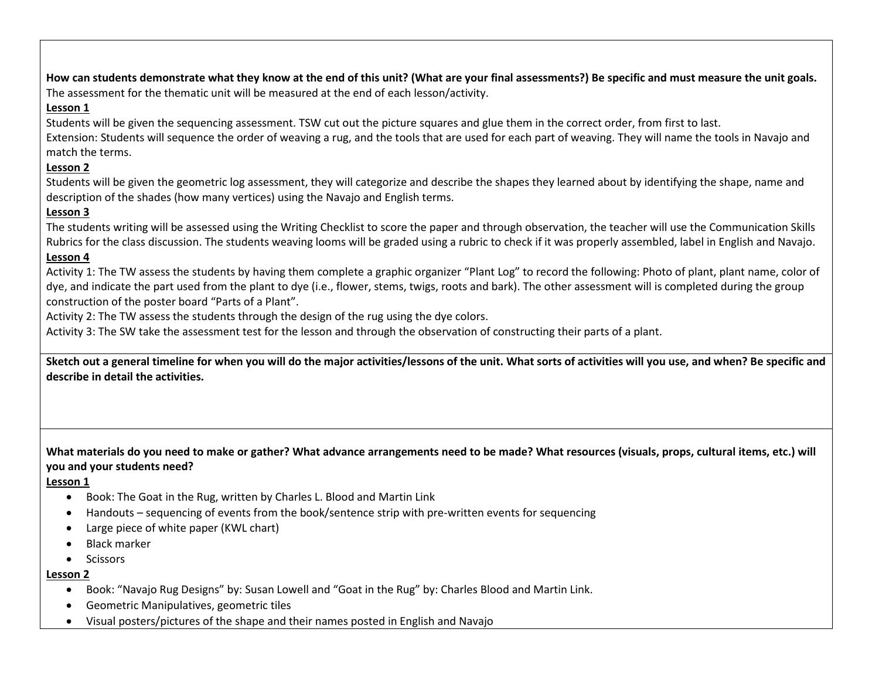**How can students demonstrate what they know at the end of this unit? (What are your final assessments?) Be specific and must measure the unit goals.** The assessment for the thematic unit will be measured at the end of each lesson/activity.

## **Lesson 1**

Students will be given the sequencing assessment. TSW cut out the picture squares and glue them in the correct order, from first to last.

Extension: Students will sequence the order of weaving a rug, and the tools that are used for each part of weaving. They will name the tools in Navajo and match the terms.

## **Lesson 2**

Students will be given the geometric log assessment, they will categorize and describe the shapes they learned about by identifying the shape, name and description of the shades (how many vertices) using the Navajo and English terms.

# **Lesson 3**

The students writing will be assessed using the Writing Checklist to score the paper and through observation, the teacher will use the Communication Skills Rubrics for the class discussion. The students weaving looms will be graded using a rubric to check if it was properly assembled, label in English and Navajo. **Lesson 4**

Activity 1: The TW assess the students by having them complete a graphic organizer "Plant Log" to record the following: Photo of plant, plant name, color of dye, and indicate the part used from the plant to dye (i.e., flower, stems, twigs, roots and bark). The other assessment will is completed during the group construction of the poster board "Parts of a Plant".

Activity 2: The TW assess the students through the design of the rug using the dye colors.

Activity 3: The SW take the assessment test for the lesson and through the observation of constructing their parts of a plant.

**Sketch out a general timeline for when you will do the major activities/lessons of the unit. What sorts of activities will you use, and when? Be specific and describe in detail the activities.**

## **What materials do you need to make or gather? What advance arrangements need to be made? What resources (visuals, props, cultural items, etc.) will you and your students need?**

**Lesson 1**

- Book: The Goat in the Rug, written by Charles L. Blood and Martin Link
- Handouts sequencing of events from the book/sentence strip with pre-written events for sequencing
- Large piece of white paper (KWL chart)
- Black marker
- Scissors

#### **Lesson 2**

- Book: "Navajo Rug Designs" by: Susan Lowell and "Goat in the Rug" by: Charles Blood and Martin Link.
- Geometric Manipulatives, geometric tiles
- Visual posters/pictures of the shape and their names posted in English and Navajo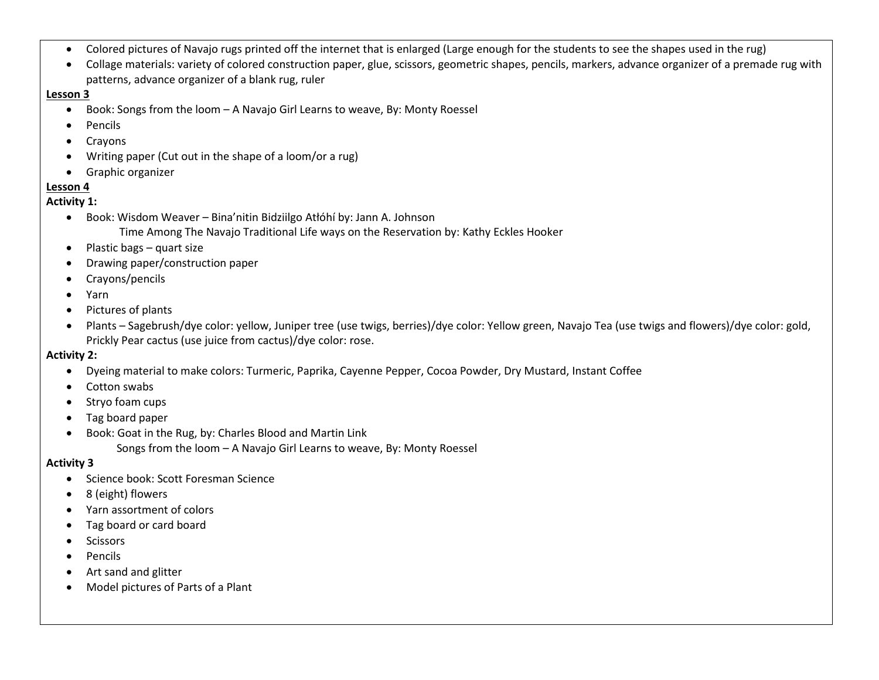- Colored pictures of Navajo rugs printed off the internet that is enlarged (Large enough for the students to see the shapes used in the rug)
- Collage materials: variety of colored construction paper, glue, scissors, geometric shapes, pencils, markers, advance organizer of a premade rug with patterns, advance organizer of a blank rug, ruler

#### **Lesson 3**

- Book: Songs from the loom A Navajo Girl Learns to weave, By: Monty Roessel
- Pencils
- Crayons
- Writing paper (Cut out in the shape of a loom/or a rug)
- Graphic organizer

## **Lesson 4**

## **Activity 1:**

- Book: Wisdom Weaver Bina'nitin Bidziilgo Atłóhí by: Jann A. Johnson
	- Time Among The Navajo Traditional Life ways on the Reservation by: Kathy Eckles Hooker
- Plastic bags quart size
- Drawing paper/construction paper
- Crayons/pencils
- Yarn
- Pictures of plants
- Plants Sagebrush/dye color: yellow, Juniper tree (use twigs, berries)/dye color: Yellow green, Navajo Tea (use twigs and flowers)/dye color: gold, Prickly Pear cactus (use juice from cactus)/dye color: rose.

## **Activity 2:**

- Dyeing material to make colors: Turmeric, Paprika, Cayenne Pepper, Cocoa Powder, Dry Mustard, Instant Coffee
- Cotton swabs
- Stryo foam cups
- Tag board paper
- Book: Goat in the Rug, by: Charles Blood and Martin Link Songs from the loom – A Navajo Girl Learns to weave, By: Monty Roessel

## **Activity 3**

- Science book: Scott Foresman Science
- 8 (eight) flowers
- Yarn assortment of colors
- Tag board or card board
- Scissors
- Pencils
- Art sand and glitter
- Model pictures of Parts of a Plant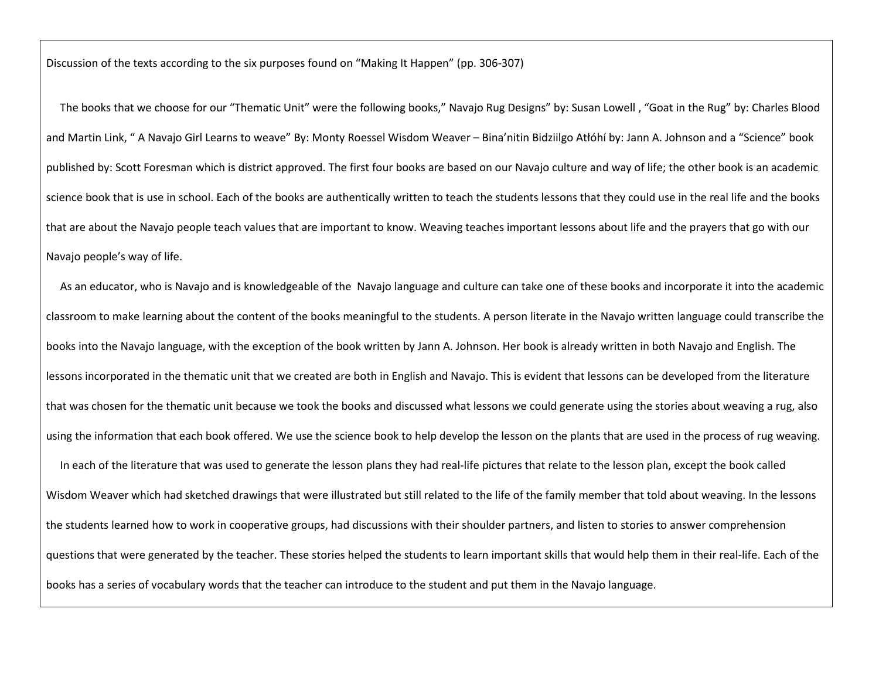Discussion of the texts according to the six purposes found on "Making It Happen" (pp. 306-307)

 The books that we choose for our "Thematic Unit" were the following books," Navajo Rug Designs" by: Susan Lowell , "Goat in the Rug" by: Charles Blood and Martin Link, " A Navajo Girl Learns to weave" By: Monty Roessel Wisdom Weaver – Bina'nitin Bidziilgo Atłóhí by: Jann A. Johnson and a "Science" book published by: Scott Foresman which is district approved. The first four books are based on our Navajo culture and way of life; the other book is an academic science book that is use in school. Each of the books are authentically written to teach the students lessons that they could use in the real life and the books that are about the Navajo people teach values that are important to know. Weaving teaches important lessons about life and the prayers that go with our Navajo people's way of life.

 As an educator, who is Navajo and is knowledgeable of the Navajo language and culture can take one of these books and incorporate it into the academic classroom to make learning about the content of the books meaningful to the students. A person literate in the Navajo written language could transcribe the books into the Navajo language, with the exception of the book written by Jann A. Johnson. Her book is already written in both Navajo and English. The lessons incorporated in the thematic unit that we created are both in English and Navajo. This is evident that lessons can be developed from the literature that was chosen for the thematic unit because we took the books and discussed what lessons we could generate using the stories about weaving a rug, also using the information that each book offered. We use the science book to help develop the lesson on the plants that are used in the process of rug weaving. In each of the literature that was used to generate the lesson plans they had real-life pictures that relate to the lesson plan, except the book called Wisdom Weaver which had sketched drawings that were illustrated but still related to the life of the family member that told about weaving. In the lessons the students learned how to work in cooperative groups, had discussions with their shoulder partners, and listen to stories to answer comprehension questions that were generated by the teacher. These stories helped the students to learn important skills that would help them in their real-life. Each of the books has a series of vocabulary words that the teacher can introduce to the student and put them in the Navajo language.